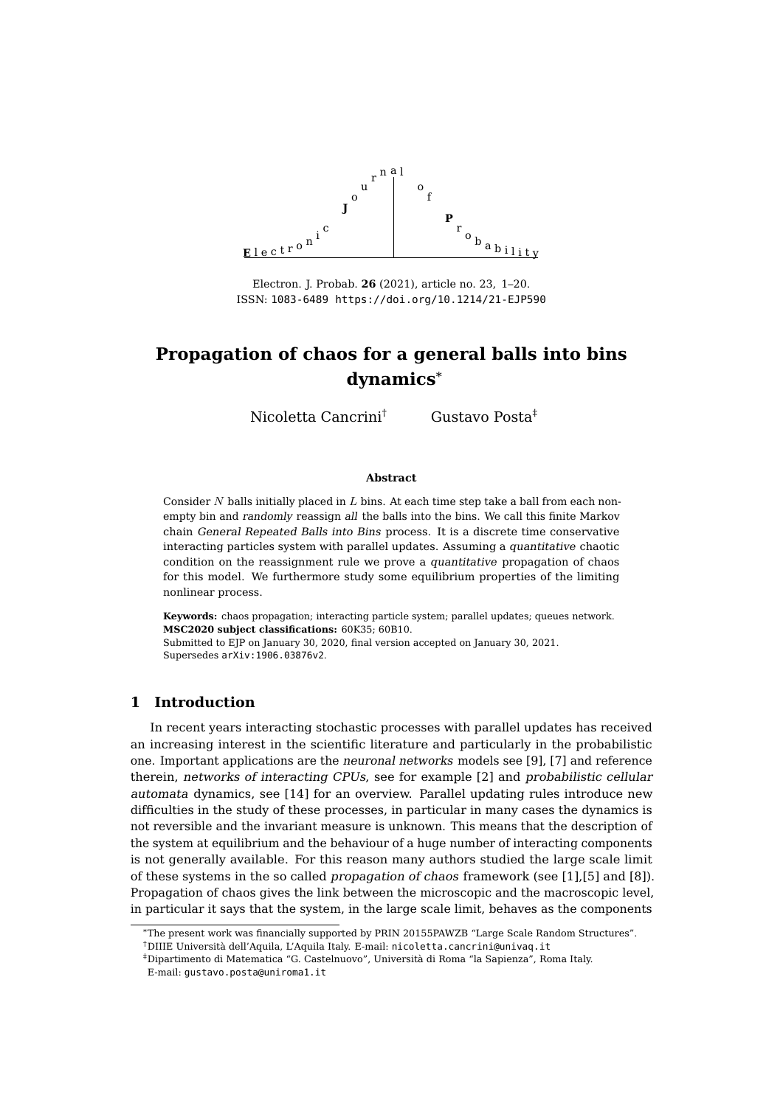

Electron. J. Probab. **26** (2021), article no. 23, 1[–20.](#page-19-0) ISSN: [1083-6489](https://imstat.org/journals-and-publications/electronic-journal-of-probability/)<https://doi.org/10.1214/21-EJP590>

Nicoletta Cancrini† Gustavo Posta‡

#### **Abstract**

Consider  $N$  balls initially placed in  $L$  bins. At each time step take a ball from each nonempty bin and randomly reassign all the balls into the bins. We call this finite Markov chain General Repeated Balls into Bins process. It is a discrete time conservative interacting particles system with parallel updates. Assuming a quantitative chaotic condition on the reassignment rule we prove a quantitative propagation of chaos for this model. We furthermore study some equilibrium properties of the limiting nonlinear process.

**Keywords:** chaos propagation; interacting particle system; parallel updates; queues network. **[MSC2020 subject classifications:](https://ams.org/mathscinet/msc/msc2020.html)** 60K35; 60B10.

Submitted to EJP on January 30, 2020, final version accepted on January 30, 2021. Supersedes [arXiv:1906.03876v2](https://arXiv.org/abs/1906.03876v2).

## **1 Introduction**

In recent years interacting stochastic processes with parallel updates has received an increasing interest in the scientific literature and particularly in the probabilistic one. Important applications are the neuronal networks models see [\[9\]](#page-19-1), [\[7\]](#page-18-0) and reference therein, networks of interacting CPUs, see for example [\[2\]](#page-18-1) and probabilistic cellular automata dynamics, see [\[14\]](#page-19-2) for an overview. Parallel updating rules introduce new difficulties in the study of these processes, in particular in many cases the dynamics is not reversible and the invariant measure is unknown. This means that the description of the system at equilibrium and the behaviour of a huge number of interacting components is not generally available. For this reason many authors studied the large scale limit of these systems in the so called propagation of chaos framework (see [\[1\]](#page-18-2),[\[5\]](#page-18-3) and [\[8\]](#page-18-4)). Propagation of chaos gives the link between the microscopic and the macroscopic level, in particular it says that the system, in the large scale limit, behaves as the components

<sup>\*</sup>The present work was financially supported by PRIN 20155PAWZB "Large Scale Random Structures".

<sup>†</sup>DIIIE Università dell'Aquila, L'Aquila Italy. E-mail: [nicoletta.cancrini@univaq.it](mailto:nicoletta.cancrini@univaq.it)

<sup>‡</sup>Dipartimento di Matematica "G. Castelnuovo", Università di Roma "la Sapienza", Roma Italy. E-mail: [gustavo.posta@uniroma1.it](mailto:gustavo.posta@uniroma1.it)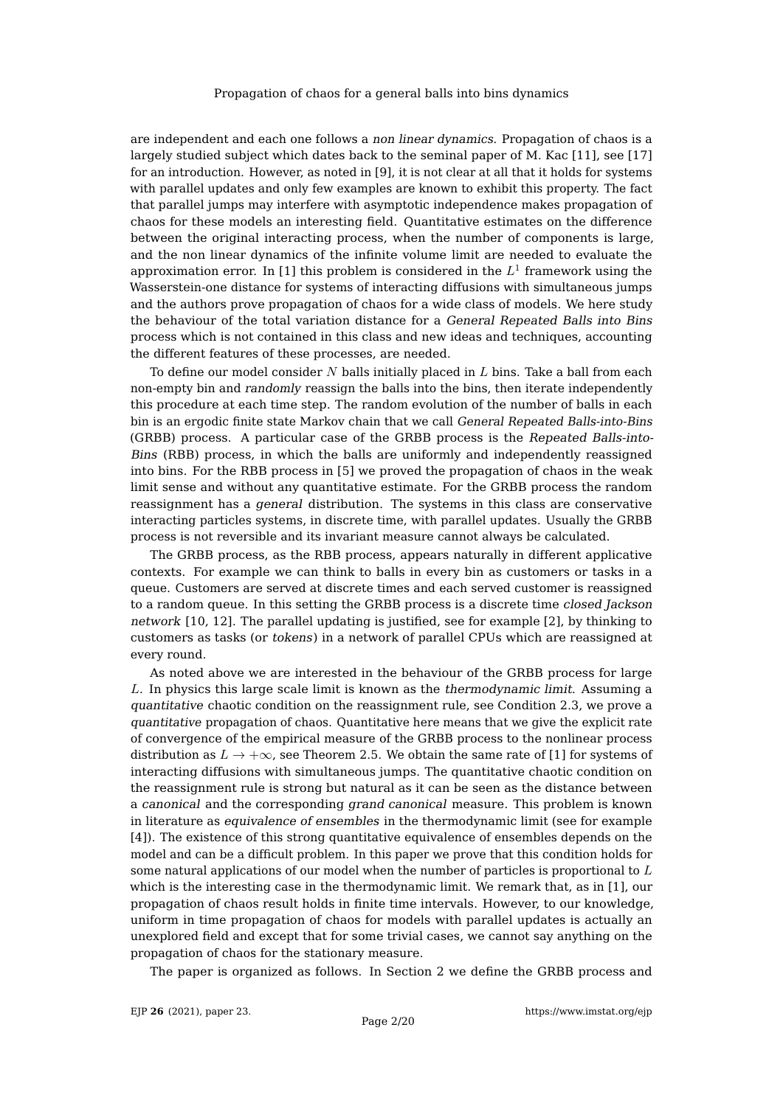are independent and each one follows a non linear dynamics. Propagation of chaos is a largely studied subject which dates back to the seminal paper of M. Kac [\[11\]](#page-19-3), see [\[17\]](#page-19-4) for an introduction. However, as noted in [\[9\]](#page-19-1), it is not clear at all that it holds for systems with parallel updates and only few examples are known to exhibit this property. The fact that parallel jumps may interfere with asymptotic independence makes propagation of chaos for these models an interesting field. Quantitative estimates on the difference between the original interacting process, when the number of components is large, and the non linear dynamics of the infinite volume limit are needed to evaluate the approximation error. In [\[1\]](#page-18-2) this problem is considered in the  $L^1$  framework using the Wasserstein-one distance for systems of interacting diffusions with simultaneous jumps and the authors prove propagation of chaos for a wide class of models. We here study the behaviour of the total variation distance for a General Repeated Balls into Bins process which is not contained in this class and new ideas and techniques, accounting the different features of these processes, are needed.

To define our model consider  $N$  balls initially placed in  $L$  bins. Take a ball from each non-empty bin and randomly reassign the balls into the bins, then iterate independently this procedure at each time step. The random evolution of the number of balls in each bin is an ergodic finite state Markov chain that we call General Repeated Balls-into-Bins (GRBB) process. A particular case of the GRBB process is the Repeated Balls-into-Bins (RBB) process, in which the balls are uniformly and independently reassigned into bins. For the RBB process in [\[5\]](#page-18-3) we proved the propagation of chaos in the weak limit sense and without any quantitative estimate. For the GRBB process the random reassignment has a general distribution. The systems in this class are conservative interacting particles systems, in discrete time, with parallel updates. Usually the GRBB process is not reversible and its invariant measure cannot always be calculated.

The GRBB process, as the RBB process, appears naturally in different applicative contexts. For example we can think to balls in every bin as customers or tasks in a queue. Customers are served at discrete times and each served customer is reassigned to a random queue. In this setting the GRBB process is a discrete time closed Jackson network [\[10,](#page-19-5) [12\]](#page-19-6). The parallel updating is justified, see for example [\[2\]](#page-18-1), by thinking to customers as tasks (or tokens) in a network of parallel CPUs which are reassigned at every round.

As noted above we are interested in the behaviour of the GRBB process for large L. In physics this large scale limit is known as the thermodynamic limit. Assuming a quantitative chaotic condition on the reassignment rule, see Condition [2.3,](#page-3-0) we prove a quantitative propagation of chaos. Quantitative here means that we give the explicit rate of convergence of the empirical measure of the GRBB process to the nonlinear process distribution as  $L \to +\infty$ , see Theorem [2.5.](#page-3-1) We obtain the same rate of [\[1\]](#page-18-2) for systems of interacting diffusions with simultaneous jumps. The quantitative chaotic condition on the reassignment rule is strong but natural as it can be seen as the distance between a canonical and the corresponding grand canonical measure. This problem is known in literature as equivalence of ensembles in the thermodynamic limit (see for example [\[4\]](#page-18-5)). The existence of this strong quantitative equivalence of ensembles depends on the model and can be a difficult problem. In this paper we prove that this condition holds for some natural applications of our model when the number of particles is proportional to  $L$ which is the interesting case in the thermodynamic limit. We remark that, as in [\[1\]](#page-18-2), our propagation of chaos result holds in finite time intervals. However, to our knowledge, uniform in time propagation of chaos for models with parallel updates is actually an unexplored field and except that for some trivial cases, we cannot say anything on the propagation of chaos for the stationary measure.

The paper is organized as follows. In Section [2](#page-2-0) we define the GRBB process and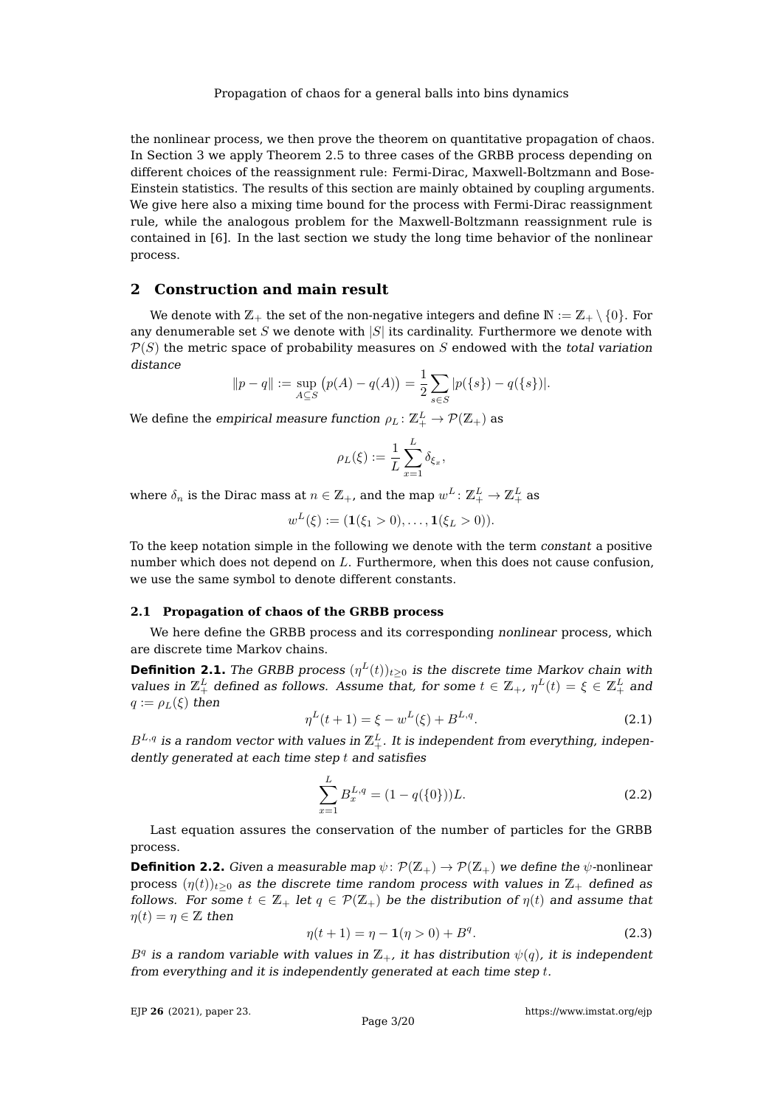the nonlinear process, we then prove the theorem on quantitative propagation of chaos. In Section [3](#page-7-0) we apply Theorem [2.5](#page-3-1) to three cases of the GRBB process depending on different choices of the reassignment rule: Fermi-Dirac, Maxwell-Boltzmann and Bose-Einstein statistics. The results of this section are mainly obtained by coupling arguments. We give here also a mixing time bound for the process with Fermi-Dirac reassignment rule, while the analogous problem for the Maxwell-Boltzmann reassignment rule is contained in [\[6\]](#page-18-6). In the last section we study the long time behavior of the nonlinear process.

## <span id="page-2-0"></span>**2 Construction and main result**

We denote with  $\mathbb{Z}_+$  the set of the non-negative integers and define  $\mathbb{N} := \mathbb{Z}_+ \setminus \{0\}$ . For any denumerable set S we denote with  $|S|$  its cardinality. Furthermore we denote with  $P(S)$  the metric space of probability measures on S endowed with the total variation distance

$$
||p - q|| := \sup_{A \subseteq S} (p(A) - q(A)) = \frac{1}{2} \sum_{s \in S} |p(\{s\}) - q(\{s\})|.
$$

We define the *empirical measure function*  $\rho_L\colon \mathbb{Z}_+^L\to \mathcal{P}(\mathbb{Z}_+)$  *as* 

$$
\rho_L(\xi) := \frac{1}{L} \sum_{x=1}^L \delta_{\xi_x},
$$

where  $\delta_n$  is the Dirac mass at  $n\in \mathbb{Z}_+$ , and the map  $w^L\colon \mathbb{Z}_+^L\to \mathbb{Z}_+^L$  as

$$
w^{L}(\xi) := (\mathbf{1}(\xi_1 > 0), \ldots, \mathbf{1}(\xi_L > 0)).
$$

To the keep notation simple in the following we denote with the term constant a positive number which does not depend on L. Furthermore, when this does not cause confusion, we use the same symbol to denote different constants.

## **2.1 Propagation of chaos of the GRBB process**

We here define the GRBB process and its corresponding nonlinear process, which are discrete time Markov chains.

**Definition 2.1.** The GRBB process  $(\eta^L(t))_{t\geq0}$  is the discrete time Markov chain with values in  $\mathbb{Z}_+^L$  defined as follows. Assume that, for some  $t \in \mathbb{Z}_+$ ,  $\eta^L(t) = \xi \in \mathbb{Z}_+^L$  and  $q := \rho_L(\xi)$  then

$$
\eta^{L}(t+1) = \xi - w^{L}(\xi) + B^{L,q}.
$$
\n(2.1)

 $B^{L,q}$  is a random vector with values in  $\mathbb{Z}^L_+$ . It is independent from everything, independently generated at each time step  $t$  and satisfies

<span id="page-2-1"></span>
$$
\sum_{x=1}^{L} B_x^{L,q} = (1 - q({0})))L.
$$
 (2.2)

Last equation assures the conservation of the number of particles for the GRBB process.

**Definition 2.2.** Given a measurable map  $\psi \colon \mathcal{P}(\mathbb{Z}_+) \to \mathcal{P}(\mathbb{Z}_+)$  we define the  $\psi$ -nonlinear process  $(\eta(t))_{t>0}$  as the discrete time random process with values in  $\mathbb{Z}_+$  defined as follows. For some  $t \in \mathbb{Z}_+$  let  $q \in \mathcal{P}(\mathbb{Z}_+)$  be the distribution of  $\eta(t)$  and assume that  $\eta(t) = \eta \in \mathbb{Z}$  then

<span id="page-2-2"></span>
$$
\eta(t+1) = \eta - \mathbf{1}(\eta > 0) + B^q. \tag{2.3}
$$

 $B^q$  is a random variable with values in  $\mathbb{Z}_+$ , it has distribution  $\psi(q)$ , it is independent from everything and it is independently generated at each time step t.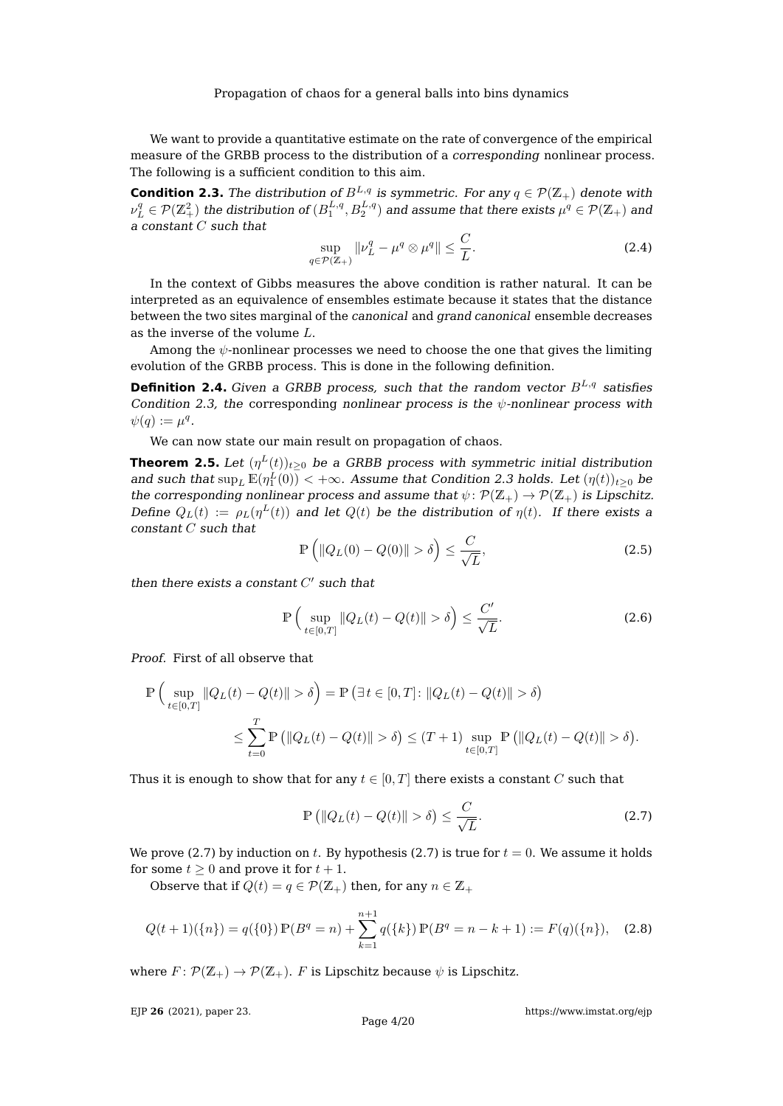We want to provide a quantitative estimate on the rate of convergence of the empirical measure of the GRBB process to the distribution of a corresponding nonlinear process. The following is a sufficient condition to this aim.

<span id="page-3-0"></span>**Condition 2.3.** The distribution of  $B^{L,q}$  is symmetric. For any  $q \in \mathcal{P}(\mathbb{Z}_+)$  denote with  $\nu_L^q\in\mathcal{P}(\Z_+^2)$  the distribution of  $(B_1^{L,q},B_2^{L,q})$  and assume that there exists  $\mu^q\in\mathcal{P}(\Z_+)$  and a constant C such that

<span id="page-3-4"></span>
$$
\sup_{q \in \mathcal{P}(\mathbb{Z}_+)} \|\nu_L^q - \mu^q \otimes \mu^q\| \le \frac{C}{L}.\tag{2.4}
$$

In the context of Gibbs measures the above condition is rather natural. It can be interpreted as an equivalence of ensembles estimate because it states that the distance between the two sites marginal of the canonical and grand canonical ensemble decreases as the inverse of the volume L.

Among the  $\psi$ -nonlinear processes we need to choose the one that gives the limiting evolution of the GRBB process. This is done in the following definition.

**Definition 2.4.** Given a GRBB process, such that the random vector  $B^{L,q}$  satisfies Condition [2.3,](#page-3-0) the corresponding nonlinear process is the  $\psi$ -nonlinear process with  $\psi(q) := \mu^q.$ 

We can now state our main result on propagation of chaos.

<span id="page-3-1"></span>**Theorem 2.5.** Let  $(\eta^L(t))_{t\geq 0}$  be a GRBB process with symmetric initial distribution and such that  $\sup_L \mathbb{E}(\eta^L_1(0)) < +\infty$ . Assume that Condition [2.3](#page-3-0) holds. Let  $(\eta(t))_{t\geq 0}$  be the corresponding nonlinear process and assume that  $\psi \colon \mathcal{P}(\mathbb{Z}_+) \to \mathcal{P}(\mathbb{Z}_+)$  is Lipschitz. Define  $Q_L(t) := \rho_L(\eta^L(t))$  and let  $Q(t)$  be the distribution of  $\eta(t)$ . If there exists a constant C such that

<span id="page-3-5"></span>
$$
\mathbb{P}\left(\|Q_L(0) - Q(0)\| > \delta\right) \le \frac{C}{\sqrt{L}},\tag{2.5}
$$

then there exists a constant  $C'$  such that

<span id="page-3-6"></span>
$$
\mathbb{P}\left(\sup_{t\in[0,T]}\|Q_L(t) - Q(t)\| > \delta\right) \le \frac{C'}{\sqrt{L}}.\tag{2.6}
$$

Proof. First of all observe that

$$
\mathbb{P}\left(\sup_{t\in[0,T]}\|Q_L(t) - Q(t)\| > \delta\right) = \mathbb{P}\left(\exists t \in [0,T] : \|Q_L(t) - Q(t)\| > \delta\right)
$$
  

$$
\leq \sum_{t=0}^T \mathbb{P}\left(\|Q_L(t) - Q(t)\| > \delta\right) \leq (T+1) \sup_{t\in[0,T]} \mathbb{P}\left(\|Q_L(t) - Q(t)\| > \delta\right).
$$

Thus it is enough to show that for any  $t \in [0, T]$  there exists a constant C such that

<span id="page-3-2"></span>
$$
\mathbb{P}\left(\|Q_L(t) - Q(t)\| > \delta\right) \le \frac{C}{\sqrt{L}}.\tag{2.7}
$$

We prove [\(2.7\)](#page-3-2) by induction on t. By hypothesis (2.7) is true for  $t = 0$ . We assume it holds for some  $t \geq 0$  and prove it for  $t + 1$ .

Observe that if  $Q(t) = q \in \mathcal{P}(\mathbb{Z}_+)$  then, for any  $n \in \mathbb{Z}_+$ 

<span id="page-3-3"></span>
$$
Q(t+1)(\{n\}) = q(\{0\}) \mathbb{P}(B^q = n) + \sum_{k=1}^{n+1} q(\{k\}) \mathbb{P}(B^q = n - k + 1) := F(q)(\{n\}), \quad (2.8)
$$

where  $F: \mathcal{P}(\mathbb{Z}_+) \to \mathcal{P}(\mathbb{Z}_+)$ . F is Lipschitz because  $\psi$  is Lipschitz.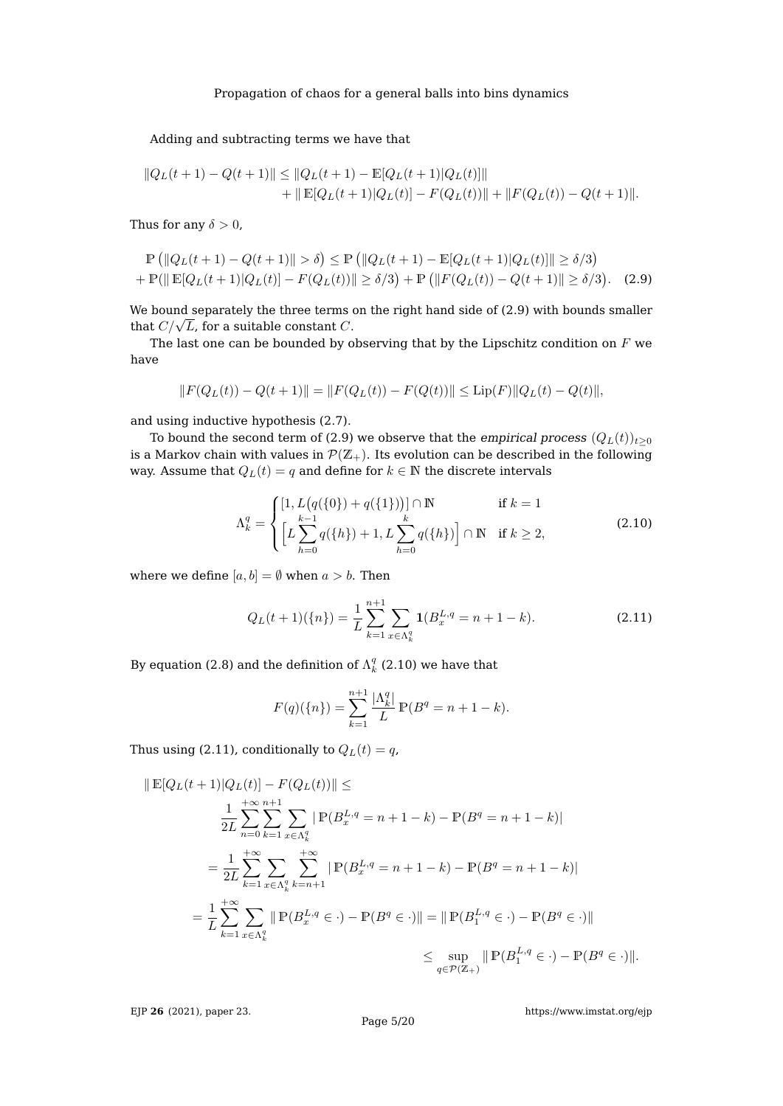## Adding and subtracting terms we have that

$$
||Q_L(t+1) - Q(t+1)|| \le ||Q_L(t+1) - \mathbb{E}[Q_L(t+1)|Q_L(t)]||
$$
  
+ 
$$
||\mathbb{E}[Q_L(t+1)|Q_L(t)] - F(Q_L(t))|| + ||F(Q_L(t)) - Q(t+1)||.
$$

Thus for any  $\delta > 0$ .

$$
\mathbb{P}\left(\|Q_L(t+1) - Q(t+1)\| > \delta\right) \le \mathbb{P}\left(\|Q_L(t+1) - \mathbb{E}[Q_L(t+1)|Q_L(t)]\| \ge \delta/3\right) \n+ \mathbb{P}(\|\mathbb{E}[Q_L(t+1)|Q_L(t)] - F(Q_L(t))\| \ge \delta/3) + \mathbb{P}\left(\|F(Q_L(t)) - Q(t+1)\| \ge \delta/3\right).
$$
\n(2.9)

We bound separately the three terms on the right hand side of [\(2.9\)](#page-4-0) with bounds smaller we bound separately the three terms  $\theta$  that  $C/\sqrt{L}$ , for a suitable constant  $C$ .

The last one can be bounded by observing that by the Lipschitz condition on  $F$  we have

$$
||F(Q_L(t)) - Q(t+1)|| = ||F(Q_L(t)) - F(Q(t))|| \le \text{Lip}(F)||Q_L(t) - Q(t)||,
$$

and using inductive hypothesis [\(2.7\)](#page-3-2).

To bound the second term of [\(2.9\)](#page-4-0) we observe that the empirical process  $(Q_L(t))_{t\geq0}$ is a Markov chain with values in  $\mathcal{P}(Z_+)$ . Its evolution can be described in the following way. Assume that  $Q_L(t) = q$  and define for  $k \in \mathbb{N}$  the discrete intervals

<span id="page-4-1"></span><span id="page-4-0"></span>
$$
\Lambda_k^q = \begin{cases}\n[1, L(q(\{0\}) + q(\{1\}))] \cap \mathbb{N} & \text{if } k = 1 \\
\left[L \sum_{h=0}^{k-1} q(\{h\}) + 1, L \sum_{h=0}^k q(\{h\})\right] \cap \mathbb{N} & \text{if } k \ge 2,\n\end{cases}
$$
\n(2.10)

where we define  $[a, b] = \emptyset$  when  $a > b$ . Then

<span id="page-4-2"></span>
$$
Q_L(t+1)(\{n\}) = \frac{1}{L} \sum_{k=1}^{n+1} \sum_{x \in \Lambda_k^q} \mathbf{1}(B_x^{L,q} = n+1-k). \tag{2.11}
$$

By equation [\(2.8\)](#page-3-3) and the definition of  $\Lambda_k^q$  [\(2.10\)](#page-4-1) we have that

$$
F(q)(\{n\}) = \sum_{k=1}^{n+1} \frac{|\Lambda_k^q|}{L} \mathbb{P}(B^q = n+1-k).
$$

Thus using [\(2.11\)](#page-4-2), conditionally to  $Q_L(t) = q$ ,

$$
\| \mathbb{E}[Q_L(t+1)|Q_L(t)] - F(Q_L(t)) \| \le
$$
  
\n
$$
\frac{1}{2L} \sum_{n=0}^{+\infty} \sum_{k=1}^{n+1} \sum_{x \in \Lambda_k^q} |\mathbb{P}(B_x^{L,q} = n+1-k) - \mathbb{P}(B^q = n+1-k)|
$$
  
\n
$$
= \frac{1}{2L} \sum_{k=1}^{+\infty} \sum_{x \in \Lambda_k^q} \sum_{k=n+1}^{+\infty} |\mathbb{P}(B_x^{L,q} = n+1-k) - \mathbb{P}(B^q = n+1-k)|
$$
  
\n
$$
= \frac{1}{L} \sum_{k=1}^{+\infty} \sum_{x \in \Lambda_k^q} \|\mathbb{P}(B_x^{L,q} \in \cdot) - \mathbb{P}(B^q \in \cdot)\| = \|\mathbb{P}(B_1^{L,q} \in \cdot) - \mathbb{P}(B^q \in \cdot)\|
$$
  
\n
$$
\leq \sup_{q \in \mathcal{P}(Z_+)} \|\mathbb{P}(B_1^{L,q} \in \cdot) - \mathbb{P}(B^q \in \cdot)\|.
$$

EJP **26** [\(2021\), paper 23.](https://doi.org/10.1214/21-EJP590)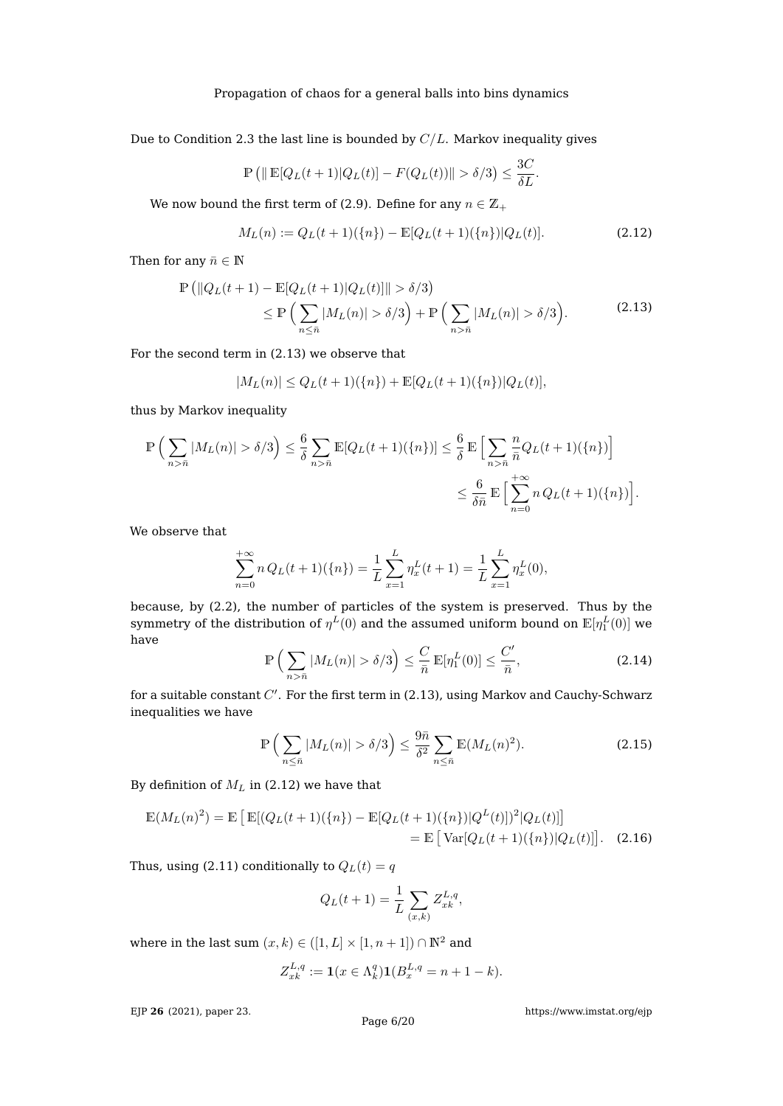Due to Condition [2.3](#page-3-0) the last line is bounded by  $C/L$ . Markov inequality gives

$$
\mathbb{P}\left(\|\mathbb{E}[Q_L(t+1)|Q_L(t)] - F(Q_L(t))\| > \delta/3\right) \le \frac{3C}{\delta L}.
$$

We now bound the first term of [\(2.9\)](#page-4-0). Define for any  $n \in \mathbb{Z}_+$ 

<span id="page-5-1"></span>
$$
M_L(n) := Q_L(t+1)(\{n\}) - \mathbb{E}[Q_L(t+1)(\{n\})|Q_L(t)].
$$
\n(2.12)

<span id="page-5-0"></span>Then for any  $\bar{n} \in \mathbb{N}$ 

$$
\mathbb{P}\left(\|Q_L(t+1) - \mathbb{E}[Q_L(t+1)|Q_L(t)]\| > \delta/3\right)
$$
  
\n
$$
\leq \mathbb{P}\left(\sum_{n \leq \bar{n}} |M_L(n)| > \delta/3\right) + \mathbb{P}\left(\sum_{n > \bar{n}} |M_L(n)| > \delta/3\right). \tag{2.13}
$$

For the second term in [\(2.13\)](#page-5-0) we observe that

$$
|M_L(n)| \leq Q_L(t+1)(\{n\}) + \mathbb{E}[Q_L(t+1)(\{n\})|Q_L(t)],
$$

thus by Markov inequality

$$
\mathbb{P}\left(\sum_{n>\bar{n}}|M_L(n)| > \delta/3\right) \leq \frac{6}{\delta} \sum_{n>\bar{n}} \mathbb{E}[Q_L(t+1)(\{n\})] \leq \frac{6}{\delta} \mathbb{E}\left[\sum_{n>\bar{n}} \frac{n}{\bar{n}} Q_L(t+1)(\{n\})\right]
$$

$$
\leq \frac{6}{\delta \bar{n}} \mathbb{E}\left[\sum_{n=0}^{+\infty} n Q_L(t+1)(\{n\})\right].
$$

We observe that

$$
\sum_{n=0}^{+\infty} n Q_L(t+1)(\{n\}) = \frac{1}{L} \sum_{x=1}^{L} \eta_x^L(t+1) = \frac{1}{L} \sum_{x=1}^{L} \eta_x^L(0),
$$

because, by [\(2.2\)](#page-2-1), the number of particles of the system is preserved. Thus by the symmetry of the distribution of  $\eta^L(0)$  and the assumed uniform bound on  $\mathbb{E}[\eta^L_1(0)]$  we have

<span id="page-5-4"></span>
$$
\mathbb{P}\left(\sum_{n>\bar{n}}|M_L(n)|>\delta/3\right)\leq \frac{C}{\bar{n}}\,\mathbb{E}[\eta_1^L(0)]\leq \frac{C'}{\bar{n}},\tag{2.14}
$$

for a suitable constant  $C'$ . For the first term in [\(2.13\)](#page-5-0), using Markov and Cauchy-Schwarz inequalities we have

<span id="page-5-2"></span>
$$
\mathbb{P}\left(\sum_{n\leq \bar{n}} |M_L(n)| > \delta/3\right) \leq \frac{9\bar{n}}{\delta^2} \sum_{n\leq \bar{n}} \mathbb{E}(M_L(n)^2). \tag{2.15}
$$

By definition of  $M_L$  in [\(2.12\)](#page-5-1) we have that

$$
\mathbb{E}(M_L(n)^2) = \mathbb{E}\left[\mathbb{E}[(Q_L(t+1)(\{n\}) - \mathbb{E}[Q_L(t+1)(\{n\})|Q^L(t)])^2|Q_L(t)]\right]
$$
  
=  $\mathbb{E}\left[\text{Var}[Q_L(t+1)(\{n\})|Q_L(t)]\right].$  (2.16)

Thus, using [\(2.11\)](#page-4-2) conditionally to  $Q_L(t) = q$ 

<span id="page-5-3"></span>
$$
Q_L(t+1) = \frac{1}{L} \sum_{(x,k)} Z_{xk}^{L,q},
$$

where in the last sum  $(x, k) \in ([1, L] \times [1, n + 1]) \cap \mathbb{N}^2$  and

$$
Z_{xk}^{L,q} := \mathbf{1}(x \in \Lambda_k^q) \mathbf{1}(B_x^{L,q} = n+1-k).
$$

EJP **26** [\(2021\), paper 23.](https://doi.org/10.1214/21-EJP590)

Page 6[/20](#page-19-0)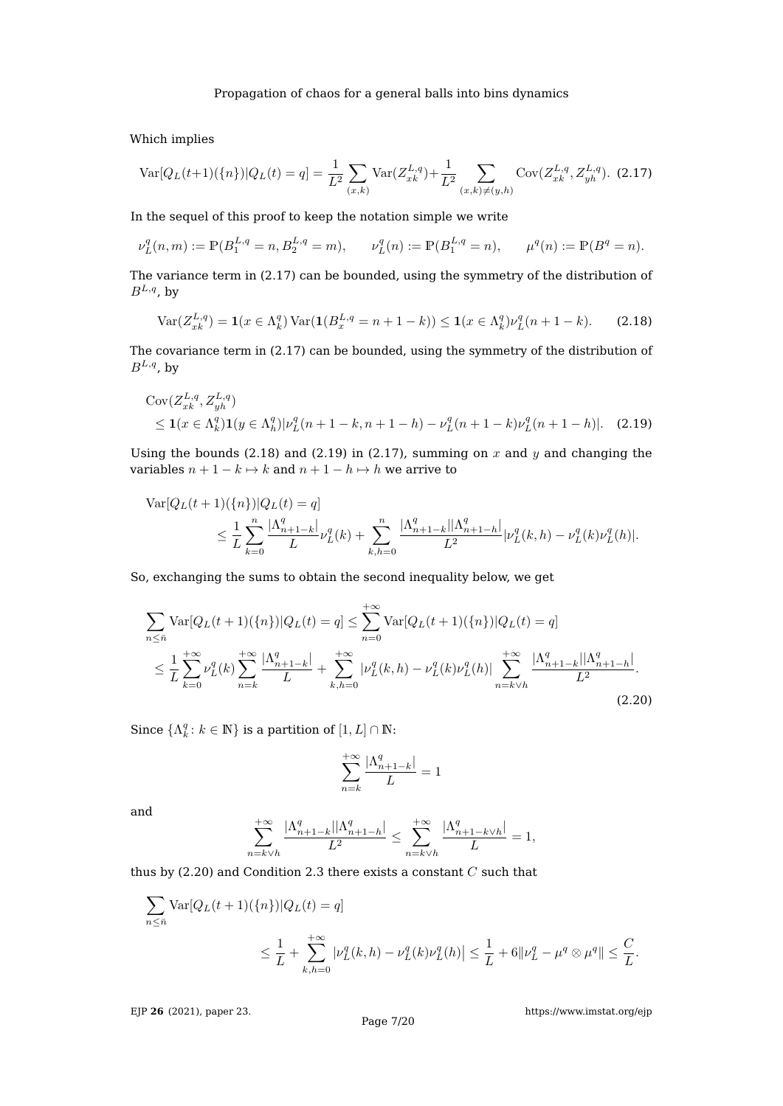Which implies

<span id="page-6-0"></span>
$$
\text{Var}[Q_L(t+1)(\{n\})|Q_L(t) = q] = \frac{1}{L^2} \sum_{(x,k)} \text{Var}(Z_{xk}^{L,q}) + \frac{1}{L^2} \sum_{(x,k)\neq(y,h)} \text{Cov}(Z_{xk}^{L,q}, Z_{yh}^{L,q}). \tag{2.17}
$$

In the sequel of this proof to keep the notation simple we write

$$
\nu_L^q(n,m) := \mathbb{P}(B_1^{L,q} = n, B_2^{L,q} = m), \qquad \nu_L^q(n) := \mathbb{P}(B_1^{L,q} = n), \qquad \mu^q(n) := \mathbb{P}(B^q = n).
$$

The variance term in [\(2.17\)](#page-6-0) can be bounded, using the symmetry of the distribution of  $B^{L,q}$ , by

<span id="page-6-1"></span>
$$
\text{Var}(Z_{xk}^{L,q}) = \mathbf{1}(x \in \Lambda_k^q) \text{Var}(\mathbf{1}(B_x^{L,q} = n+1-k)) \le \mathbf{1}(x \in \Lambda_k^q) \nu_L^q (n+1-k). \tag{2.18}
$$

The covariance term in [\(2.17\)](#page-6-0) can be bounded, using the symmetry of the distribution of  $B^{L,q}$ , by

$$
\begin{aligned} \n\text{Cov}(Z_{xk}^{L,q}, Z_{yh}^{L,q}) \\
&\leq 1(x \in \Lambda_k^q) \mathbf{1}(y \in \Lambda_h^q) |\nu_L^q(n+1-k, n+1-h) - \nu_L^q(n+1-k)\nu_L^q(n+1-h)|. \quad (2.19) \n\end{aligned}
$$

Using the bounds [\(2.18\)](#page-6-1) and [\(2.19\)](#page-6-2) in [\(2.17\)](#page-6-0), summing on x and y and changing the variables  $n + 1 - k \mapsto k$  and  $n + 1 - h \mapsto h$  we arrive to

$$
\begin{split} \text{Var}[Q_L(t+1)(\{n\})|Q_L(t) &= q] \\ &\leq \frac{1}{L} \sum_{k=0}^n \frac{|\Lambda_{n+1-k}^q|}{L} \nu_L^q(k) + \sum_{k,h=0}^n \frac{|\Lambda_{n+1-k}^q| |\Lambda_{n+1-h}^q|}{L^2} |\nu_L^q(k,h) - \nu_L^q(k) \nu_L^q(h)|. \end{split}
$$

So, exchanging the sums to obtain the second inequality below, we get

$$
\sum_{n\leq n} \text{Var}[Q_L(t+1)(\{n\})|Q_L(t) = q] \leq \sum_{n=0}^{+\infty} \text{Var}[Q_L(t+1)(\{n\})|Q_L(t) = q]
$$
\n
$$
\leq \frac{1}{L} \sum_{k=0}^{+\infty} \nu_L^q(k) \sum_{n=k}^{+\infty} \frac{|\Lambda_{n+1-k}^q|}{L} + \sum_{k,h=0}^{+\infty} |\nu_L^q(k,h) - \nu_L^q(k)\nu_L^q(h)| \sum_{n=k\vee h}^{+\infty} \frac{|\Lambda_{n+1-k}^q| |\Lambda_{n+1-h}^q|}{L^2}.
$$
\n(2.20)

Since  $\{\Lambda_k^q: k \in \mathbb{N}\}$  is a partition of  $[1,L] \cap \mathbb{N}$ :

<span id="page-6-3"></span><span id="page-6-2"></span>
$$
\sum_{n=k}^{+\infty} \frac{|\Lambda_{n+1-k}^q|}{L} = 1
$$

and

$$
\sum_{n=k\vee h}^{+\infty} \frac{|\Lambda_{n+1-k}^q||\Lambda_{n+1-h}^q|}{L^2} \le \sum_{n=k\vee h}^{+\infty} \frac{|\Lambda_{n+1-k\vee h}^q|}{L} = 1,
$$

thus by [\(2.20\)](#page-6-3) and Condition [2.3](#page-3-0) there exists a constant  $C$  such that

$$
\sum_{n \leq \bar{n}} \text{Var}[Q_L(t+1)(\{n\})|Q_L(t) = q]
$$
  

$$
\leq \frac{1}{L} + \sum_{k,h=0}^{+\infty} |\nu_L^q(k,h) - \nu_L^q(k)\nu_L^q(h)| \leq \frac{1}{L} + 6\|\nu_L^q - \mu^q \otimes \mu^q\| \leq \frac{C}{L}.
$$

EJP **26** [\(2021\), paper 23.](https://doi.org/10.1214/21-EJP590)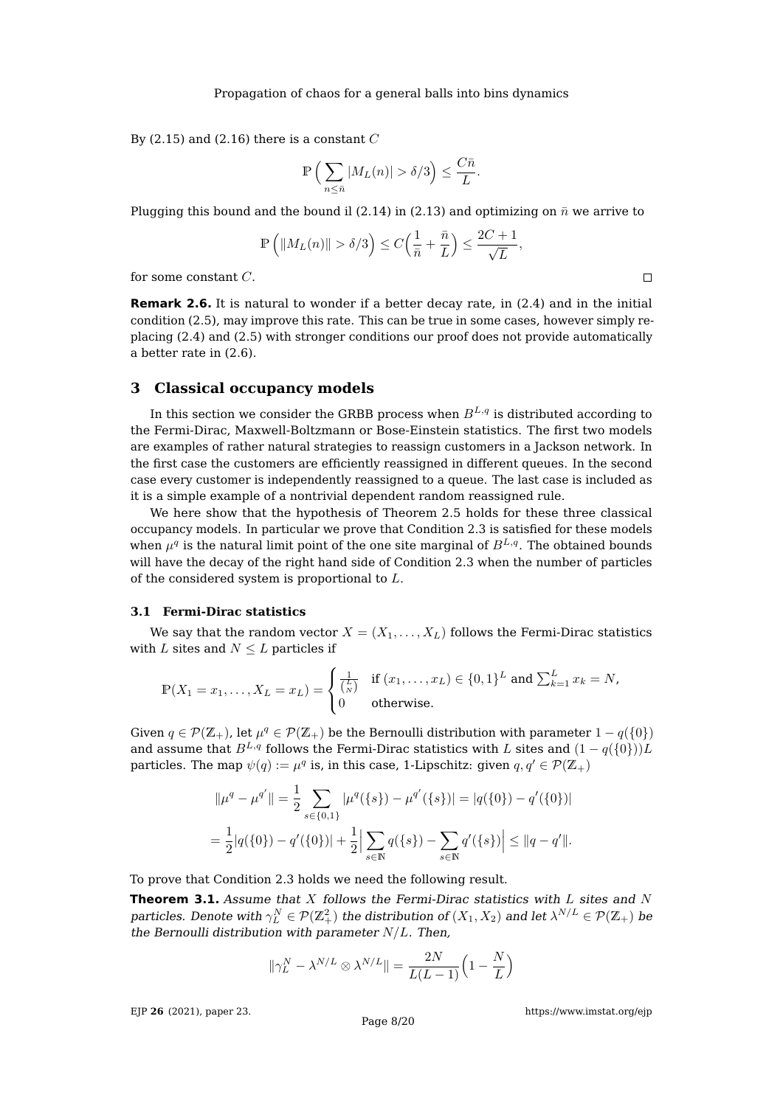By [\(2.15\)](#page-5-2) and [\(2.16\)](#page-5-3) there is a constant  $C$ 

$$
\mathbb{P}\left(\sum_{n\leq \bar{n}} |M_L(n)| > \delta/3\right) \leq \frac{C\bar{n}}{L}.
$$

Plugging this bound and the bound il [\(2.14\)](#page-5-4) in [\(2.13\)](#page-5-0) and optimizing on  $\bar{n}$  we arrive to

$$
\mathbb{P}\left(\|M_L(n)\| > \delta/3\right) \leq C\Big(\frac{1}{\bar n} + \frac{\bar n}{L}\Big) \leq \frac{2C+1}{\sqrt{L}},
$$

for some constant C.

**Remark 2.6.** It is natural to wonder if a better decay rate, in  $(2.4)$  and in the initial condition [\(2.5\)](#page-3-5), may improve this rate. This can be true in some cases, however simply replacing [\(2.4\)](#page-3-4) and [\(2.5\)](#page-3-5) with stronger conditions our proof does not provide automatically a better rate in [\(2.6\)](#page-3-6).

## <span id="page-7-0"></span>**3 Classical occupancy models**

In this section we consider the GRBB process when  $B^{L,q}$  is distributed according to the Fermi-Dirac, Maxwell-Boltzmann or Bose-Einstein statistics. The first two models are examples of rather natural strategies to reassign customers in a Jackson network. In the first case the customers are efficiently reassigned in different queues. In the second case every customer is independently reassigned to a queue. The last case is included as it is a simple example of a nontrivial dependent random reassigned rule.

We here show that the hypothesis of Theorem [2.5](#page-3-1) holds for these three classical occupancy models. In particular we prove that Condition [2.3](#page-3-0) is satisfied for these models when  $\mu^q$  is the natural limit point of the one site marginal of  $B^{L,q}.$  The obtained bounds will have the decay of the right hand side of Condition [2.3](#page-3-0) when the number of particles of the considered system is proportional to L.

#### **3.1 Fermi-Dirac statistics**

We say that the random vector  $X = (X_1, \ldots, X_L)$  follows the Fermi-Dirac statistics with L sites and  $N \leq L$  particles if

$$
\mathbb{P}(X_1 = x_1, \dots, X_L = x_L) = \begin{cases} \frac{1}{\binom{L}{N}} & \text{if } (x_1, \dots, x_L) \in \{0, 1\}^L \text{ and } \sum_{k=1}^L x_k = N, \\ 0 & \text{otherwise.} \end{cases}
$$

Given  $q \in \mathcal{P}(\mathbb{Z}_+)$ , let  $\mu^q \in \mathcal{P}(\mathbb{Z}_+)$  be the Bernoulli distribution with parameter  $1 - q(\{0\})$ and assume that  $B^{L,q}$  follows the Fermi-Dirac statistics with L sites and  $(1 - q({0})L)$ particles. The map  $\psi(q):=\mu^q$  is, in this case, 1-Lipschitz: given  $q,q'\in\mathcal{P}(\mathbb{Z}_+)$ 

$$
\|\mu^q - \mu^{q'}\| = \frac{1}{2} \sum_{s \in \{0,1\}} |\mu^q(\{s\}) - \mu^{q'}(\{s\})| = |q(\{0\}) - q'(\{0\})|
$$
  
= 
$$
\frac{1}{2}|q(\{0\}) - q'(\{0\})| + \frac{1}{2} \left| \sum_{s \in \mathbb{N}} q(\{s\}) - \sum_{s \in \mathbb{N}} q'(\{s\}) \right| \le ||q - q'||.
$$

To prove that Condition [2.3](#page-3-0) holds we need the following result.

<span id="page-7-1"></span>**Theorem 3.1.** Assume that  $X$  follows the Fermi-Dirac statistics with  $L$  sites and  $N$ particles. Denote with  $\gamma^N_L\in\mathcal{P}(\Z_+^2)$  the distribution of  $(X_1,X_2)$  and let  $\lambda^{N/L}\in\mathcal{P}(\Z_+)$  be the Bernoulli distribution with parameter  $N/L$ . Then,

$$
\|\gamma_L^N - \lambda^{N/L} \otimes \lambda^{N/L}\| = \frac{2N}{L(L-1)} \Big(1 - \frac{N}{L}\Big)
$$

EJP **26** [\(2021\), paper 23.](https://doi.org/10.1214/21-EJP590)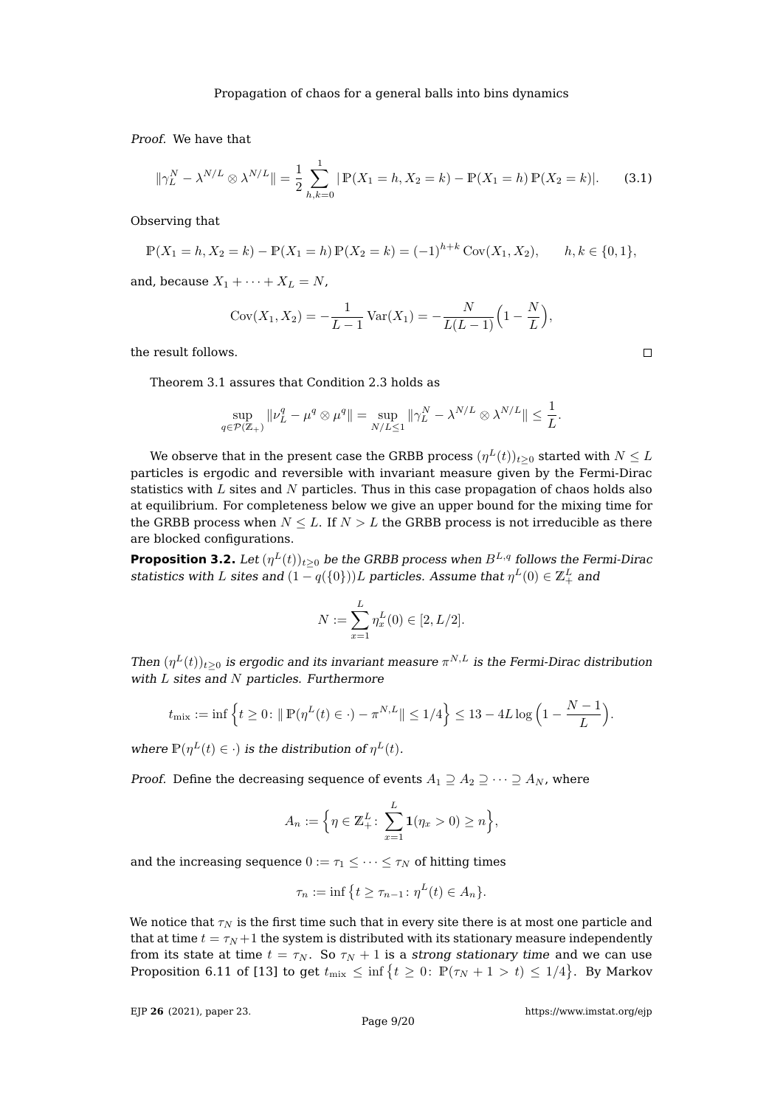Proof. We have that

$$
\|\gamma_L^N - \lambda^{N/L} \otimes \lambda^{N/L}\| = \frac{1}{2} \sum_{h,k=0}^1 |\mathbb{P}(X_1 = h, X_2 = k) - \mathbb{P}(X_1 = h)\mathbb{P}(X_2 = k)|. \tag{3.1}
$$

Observing that

$$
\mathbb{P}(X_1 = h, X_2 = k) - \mathbb{P}(X_1 = h) \mathbb{P}(X_2 = k) = (-1)^{h+k} \text{Cov}(X_1, X_2), \qquad h, k \in \{0, 1\},
$$

and, because  $X_1 + \cdots + X_L = N$ ,

$$
Cov(X_1, X_2) = -\frac{1}{L-1} Var(X_1) = -\frac{N}{L(L-1)} \left(1 - \frac{N}{L}\right),
$$

the result follows.

Theorem [3.1](#page-7-1) assures that Condition [2.3](#page-3-0) holds as

$$
\sup_{q \in \mathcal{P}(\mathbb{Z}_+)} \|\nu_L^q - \mu^q \otimes \mu^q\| = \sup_{N/L \le 1} \|\gamma_L^N - \lambda^{N/L} \otimes \lambda^{N/L}\| \le \frac{1}{L}.
$$

We observe that in the present case the GRBB process  $(\eta^L(t))_{t\geq 0}$  started with  $N\leq L$ particles is ergodic and reversible with invariant measure given by the Fermi-Dirac statistics with  $L$  sites and  $N$  particles. Thus in this case propagation of chaos holds also at equilibrium. For completeness below we give an upper bound for the mixing time for the GRBB process when  $N \leq L$ . If  $N > L$  the GRBB process is not irreducible as there are blocked configurations.

**Proposition 3.2.** Let  $(\eta^L(t))_{t\geq 0}$  be the GRBB process when  $B^{L,q}$  follows the Fermi-Dirac statistics with  $L$  sites and  $(1 - q({0})))L$  particles. Assume that  $\eta^L(0) \in \mathbb{Z}_+^L$  and

$$
N := \sum_{x=1}^{L} \eta_x^L(0) \in [2, L/2].
$$

Then  $(\eta^L(t))_{t\geq0}$  is ergodic and its invariant measure  $\pi^{N,L}$  is the Fermi-Dirac distribution with  $L$  sites and  $N$  particles. Furthermore

$$
t_{\text{mix}} := \inf \left\{ t \ge 0 : ||P(\eta^L(t) \in \cdot) - \pi^{N,L}|| \le 1/4 \right\} \le 13 - 4L \log \left( 1 - \frac{N-1}{L} \right).
$$

where  $\mathbb{P}(\eta^L(t) \in \cdot)$  is the distribution of  $\eta^L(t)$ .

*Proof.* Define the decreasing sequence of events  $A_1 \supseteq A_2 \supseteq \cdots \supseteq A_N$ , where

$$
A_n := \Big\{ \eta \in \mathbb{Z}_+^L \colon \sum_{x=1}^L \mathbf{1}(\eta_x > 0) \ge n \Big\},\
$$

and the increasing sequence  $0 := \tau_1 \leq \cdots \leq \tau_N$  of hitting times

$$
\tau_n := \inf \{ t \ge \tau_{n-1} \colon \eta^L(t) \in A_n \}.
$$

We notice that  $\tau_N$  is the first time such that in every site there is at most one particle and that at time  $t = \tau_N + 1$  the system is distributed with its stationary measure independently from its state at time  $t = \tau_N$ . So  $\tau_N + 1$  is a strong stationary time and we can use Proposition 6.11 of [\[13\]](#page-19-7) to get  $t_{\text{mix}} \leq \inf \{ t \geq 0 : \mathbb{P}(\tau_N + 1 > t) \leq 1/4 \}$ . By Markov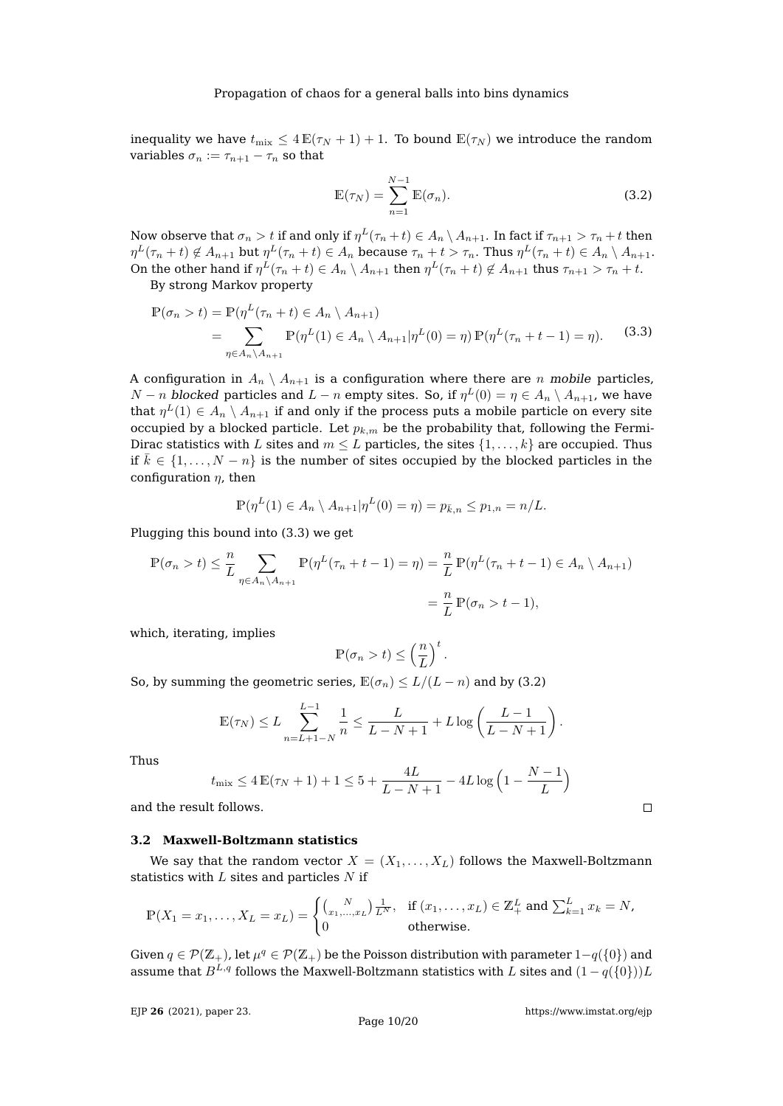inequality we have  $t_{\text{mix}} \leq 4 \mathbb{E}(\tau_N + 1) + 1$ . To bound  $\mathbb{E}(\tau_N)$  we introduce the random variables  $\sigma_n := \tau_{n+1} - \tau_n$  so that

<span id="page-9-1"></span>
$$
\mathbb{E}(\tau_N) = \sum_{n=1}^{N-1} \mathbb{E}(\sigma_n).
$$
 (3.2)

Now observe that  $\sigma_n>t$  if and only if  $\eta^L(\tau_n+t)\in A_n\setminus A_{n+1}.$  In fact if  $\tau_{n+1}>\tau_n+t$  then  $\eta^L(\tau_n+t)\not\in A_{n+1}$  but  $\eta^L(\tau_n+t)\in A_n$  because  $\tau_n+t>\tau_n.$  Thus  $\eta^L(\tau_n+t)\in A_n\setminus A_{n+1}.$ On the other hand if  $\eta^L(\tau_n+t)\in A_n\setminus A_{n+1}$  then  $\eta^L(\tau_n+t)\not\in A_{n+1}$  thus  $\tau_{n+1}>\tau_n+t.$ By strong Markov property

<span id="page-9-0"></span>
$$
\mathbb{P}(\sigma_n > t) = \mathbb{P}(\eta^L(\tau_n + t) \in A_n \setminus A_{n+1})
$$
  
= 
$$
\sum_{\eta \in A_n \setminus A_{n+1}} \mathbb{P}(\eta^L(1) \in A_n \setminus A_{n+1} | \eta^L(0) = \eta) \mathbb{P}(\eta^L(\tau_n + t - 1) = \eta).
$$
 (3.3)

A configuration in  $A_n \setminus A_{n+1}$  is a configuration where there are n mobile particles,  $N-n$  blocked particles and  $L-n$  empty sites. So, if  $\eta^L(0)=\eta\in A_n\setminus A_{n+1}$ , we have that  $\eta^L(1) \in A_n \setminus A_{n+1}$  if and only if the process puts a mobile particle on every site occupied by a blocked particle. Let  $p_{k,m}$  be the probability that, following the Fermi-Dirac statistics with L sites and  $m \leq L$  particles, the sites  $\{1, \ldots, k\}$  are occupied. Thus if  $\bar{k} \in \{1, \ldots, N-n\}$  is the number of sites occupied by the blocked particles in the configuration  $\eta$ , then

$$
\mathbb{P}(\eta^{L}(1) \in A_{n} \setminus A_{n+1} | \eta^{L}(0) = \eta) = p_{\bar{k},n} \le p_{1,n} = n/L.
$$

Plugging this bound into [\(3.3\)](#page-9-0) we get

$$
\mathbb{P}(\sigma_n > t) \leq \frac{n}{L} \sum_{\eta \in A_n \setminus A_{n+1}} \mathbb{P}(\eta^L(\tau_n + t - 1) = \eta) = \frac{n}{L} \mathbb{P}(\eta^L(\tau_n + t - 1) \in A_n \setminus A_{n+1})
$$

$$
= \frac{n}{L} \mathbb{P}(\sigma_n > t - 1),
$$

which, iterating, implies

$$
\mathbb{P}(\sigma_n > t) \le \left(\frac{n}{L}\right)^t.
$$

So, by summing the geometric series,  $\mathbb{E}(\sigma_n) \leq L/(L-n)$  and by [\(3.2\)](#page-9-1)

$$
\mathbb{E}(\tau_N) \le L \sum_{n=L+1-N}^{L-1} \frac{1}{n} \le \frac{L}{L-N+1} + L \log \left( \frac{L-1}{L-N+1} \right).
$$

Thus

$$
t_{\text{mix}} \le 4 \mathbb{E}(\tau_N + 1) + 1 \le 5 + \frac{4L}{L - N + 1} - 4L \log \left( 1 - \frac{N - 1}{L} \right)
$$

and the result follows.

## <span id="page-9-2"></span>**3.2 Maxwell-Boltzmann statistics**

We say that the random vector  $X = (X_1, \ldots, X_L)$  follows the Maxwell-Boltzmann statistics with  $L$  sites and particles  $N$  if

$$
\mathbb{P}(X_1 = x_1, \dots, X_L = x_L) = \begin{cases} {N \choose x_1, \dots, x_L} \frac{1}{L^N}, & \text{if } (x_1, \dots, x_L) \in \mathbb{Z}_+^L \text{ and } \sum_{k=1}^L x_k = N, \\ 0 & \text{otherwise.} \end{cases}
$$

Given  $q \in \mathcal{P}(\mathbb{Z}_+)$ , let  $\mu^q \in \mathcal{P}(\mathbb{Z}_+)$  be the Poisson distribution with parameter  $1-q(\{0\})$  and assume that  $B^{L,q}$  follows the Maxwell-Boltzmann statistics with L sites and  $(1 - q({0})L)$ 

EJP **26** [\(2021\), paper 23.](https://doi.org/10.1214/21-EJP590)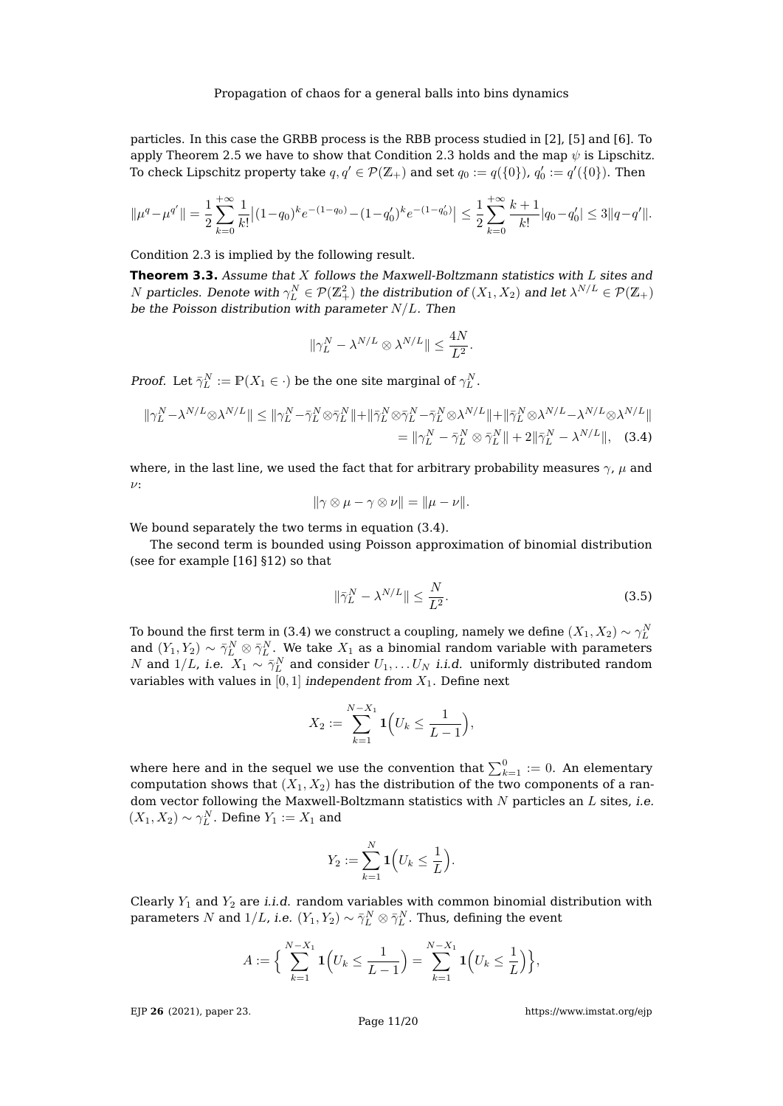particles. In this case the GRBB process is the RBB process studied in [\[2\]](#page-18-1), [\[5\]](#page-18-3) and [\[6\]](#page-18-6). To apply Theorem [2.5](#page-3-1) we have to show that Condition [2.3](#page-3-0) holds and the map  $\psi$  is Lipschitz. To check Lipschitz property take  $q, q' \in \mathcal{P}(\mathbb{Z}_{+})$  and set  $q_0 := q(\{0\})$ ,  $q'_0 := q'(\{0\})$ . Then

$$
\|\mu^q-\mu^{q'}\|=\frac{1}{2}\sum_{k=0}^{+\infty}\frac{1}{k!}\big|(1-q_0)^ke^{-(1-q_0)}-(1-q_0')^ke^{-(1-q_0')}\big|\leq \frac{1}{2}\sum_{k=0}^{+\infty}\frac{k+1}{k!}|q_0-q_0'|\leq 3\|q-q'\|.
$$

Condition [2.3](#page-3-0) is implied by the following result.

**Theorem 3.3.** Assume that X follows the Maxwell-Boltzmann statistics with L sites and  $N$  particles. Denote with  $\gamma^N_L\in \mathcal{P}(\mathbb{Z}^2_+)$  the distribution of  $(X_1,X_2)$  and let  $\lambda^{N/L}\in \mathcal{P}(\mathbb{Z}_+)$ be the Poisson distribution with parameter  $N/L$ . Then

$$
\|\gamma_L^N - \lambda^{N/L} \otimes \lambda^{N/L}\| \le \frac{4N}{L^2}.
$$

*Proof.* Let  $\bar{\gamma}_L^N := \mathbb{P}(X_1 \in \cdot)$  be the one site marginal of  $\gamma_L^N$ .

$$
\|\gamma_L^N - \lambda^{N/L} \otimes \lambda^{N/L}\| \le \|\gamma_L^N - \bar{\gamma}_L^N \otimes \bar{\gamma}_L^N\| + \|\bar{\gamma}_L^N \otimes \bar{\gamma}_L^N - \bar{\gamma}_L^N \otimes \lambda^{N/L}\| + \|\bar{\gamma}_L^N \otimes \lambda^{N/L} - \lambda^{N/L} \otimes \lambda^{N/L}\|
$$
  
=  $\|\gamma_L^N - \bar{\gamma}_L^N \otimes \bar{\gamma}_L^N\| + 2\|\bar{\gamma}_L^N - \lambda^{N/L}\|,$  (3.4)

where, in the last line, we used the fact that for arbitrary probability measures  $\gamma$ ,  $\mu$  and  $\nu$ :

<span id="page-10-0"></span>
$$
\|\gamma\otimes\mu-\gamma\otimes\nu\|=\|\mu-\nu\|.
$$

We bound separately the two terms in equation  $(3.4)$ .

The second term is bounded using Poisson approximation of binomial distribution (see for example [\[16\]](#page-19-8) §12) so that

<span id="page-10-1"></span>
$$
\|\bar{\gamma}_L^N - \lambda^{N/L}\| \le \frac{N}{L^2}.\tag{3.5}
$$

To bound the first term in [\(3.4\)](#page-10-0) we construct a coupling, namely we define  $(X_1, X_2) \sim \gamma_L^N$ and  $(Y_1,Y_2) \sim \bar{\gamma}_L^N \otimes \bar{\gamma}_L^N.$  We take  $X_1$  as a binomial random variable with parameters N and  $1/L$ , i.e.  $X_1 \sim \bar{\gamma}_L^N$  and consider  $U_1, \ldots U_N$  i.i.d. uniformly distributed random variables with values in  $[0, 1]$  independent from  $X_1$ . Define next

$$
X_2 := \sum_{k=1}^{N-X_1} \mathbf{1} \Big( U_k \leq \frac{1}{L-1} \Big),
$$

where here and in the sequel we use the convention that  $\sum_{k=1}^0 := 0.$  An elementary computation shows that  $(X_1, X_2)$  has the distribution of the two components of a random vector following the Maxwell-Boltzmann statistics with  $N$  particles an  $L$  sites, i.e.  $(X_1, X_2) \sim \gamma_L^N$ . Define  $Y_1 := X_1$  and

$$
Y_2 := \sum_{k=1}^N \mathbf{1}\Big(U_k \leq \frac{1}{L}\Big).
$$

Clearly  $Y_1$  and  $Y_2$  are *i.i.d.* random variables with common binomial distribution with parameters  $N$  and  $1/L$ , i.e.  $(Y_1,Y_2)\sim \bar\gamma_L^N\otimes\bar\gamma_L^N$  . Thus, defining the event

$$
A := \Big\{ \sum_{k=1}^{N-X_1} \mathbf{1} \Big( U_k \leq \frac{1}{L-1} \Big) = \sum_{k=1}^{N-X_1} \mathbf{1} \Big( U_k \leq \frac{1}{L} \Big) \Big\},\,
$$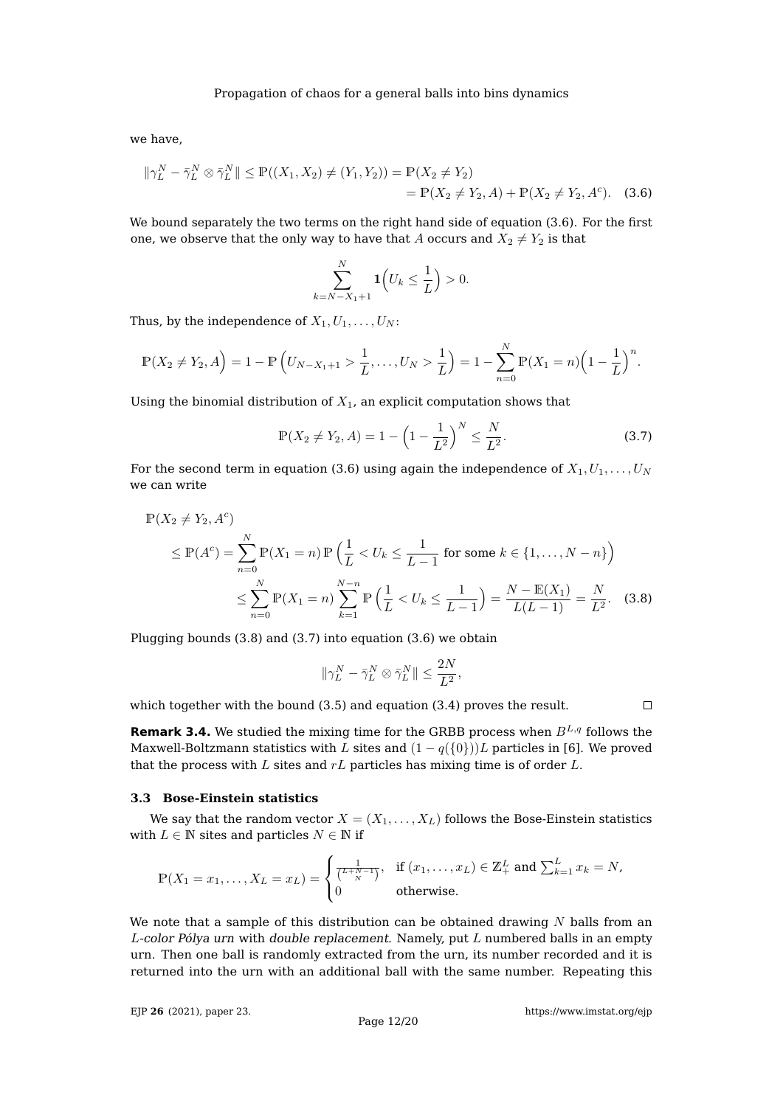we have,

$$
\|\gamma_L^N - \bar{\gamma}_L^N \otimes \bar{\gamma}_L^N\| \le \mathbb{P}((X_1, X_2) \ne (Y_1, Y_2)) = \mathbb{P}(X_2 \ne Y_2)
$$
  
=  $\mathbb{P}(X_2 \ne Y_2, A) + \mathbb{P}(X_2 \ne Y_2, A^c)$ . (3.6)

We bound separately the two terms on the right hand side of equation [\(3.6\)](#page-11-0). For the first one, we observe that the only way to have that A occurs and  $X_2 \neq Y_2$  is that

<span id="page-11-0"></span>
$$
\sum_{k=N-X_1+1}^{N} \mathbf{1}\Big(U_k \le \frac{1}{L}\Big) > 0.
$$

Thus, by the independence of  $X_1, U_1, \ldots, U_N$ :

$$
\mathbb{P}(X_2 \neq Y_2, A) = 1 - \mathbb{P}\left(U_{N-X_1+1} > \frac{1}{L}, \dots, U_N > \frac{1}{L}\right) = 1 - \sum_{n=0}^{N} \mathbb{P}(X_1 = n) \left(1 - \frac{1}{L}\right)^n.
$$

Using the binomial distribution of  $X_1$ , an explicit computation shows that

<span id="page-11-2"></span>
$$
\mathbb{P}(X_2 \neq Y_2, A) = 1 - \left(1 - \frac{1}{L^2}\right)^N \leq \frac{N}{L^2}.
$$
\n(3.7)

For the second term in equation [\(3.6\)](#page-11-0) using again the independence of  $X_1, U_1, \ldots, U_N$ we can write

$$
\mathbb{P}(X_2 \neq Y_2, A^c)
$$
\n
$$
\leq \mathbb{P}(A^c) = \sum_{n=0}^{N} \mathbb{P}(X_1 = n) \mathbb{P}\left(\frac{1}{L} < U_k \leq \frac{1}{L-1} \text{ for some } k \in \{1, \dots, N-n\}\right)
$$
\n
$$
\leq \sum_{n=0}^{N} \mathbb{P}(X_1 = n) \sum_{k=1}^{N-n} \mathbb{P}\left(\frac{1}{L} < U_k \leq \frac{1}{L-1}\right) = \frac{N - \mathbb{E}(X_1)}{L(L-1)} = \frac{N}{L^2}.\tag{3.8}
$$

Plugging bounds [\(3.8\)](#page-11-1) and [\(3.7\)](#page-11-2) into equation [\(3.6\)](#page-11-0) we obtain

$$
\|\gamma_L^N-\bar{\gamma}_L^N\otimes\bar{\gamma}_L^N\|\leq \frac{2N}{L^2},
$$

which together with the bound [\(3.5\)](#page-10-1) and equation [\(3.4\)](#page-10-0) proves the result.

<span id="page-11-1"></span> $\Box$ 

**Remark 3.4.** We studied the mixing time for the GRBB process when  $B^{L,q}$  follows the Maxwell-Boltzmann statistics with L sites and  $(1 - q({0})$ )L particles in [\[6\]](#page-18-6). We proved that the process with  $L$  sites and  $rL$  particles has mixing time is of order  $L$ .

#### **3.3 Bose-Einstein statistics**

We say that the random vector  $X = (X_1, \ldots, X_L)$  follows the Bose-Einstein statistics with  $L \in \mathbb{N}$  sites and particles  $N \in \mathbb{N}$  if

$$
\mathbb{P}(X_1 = x_1, \dots, X_L = x_L) = \begin{cases} \frac{1}{\binom{L+N-1}{N}}, & \text{if } (x_1, \dots, x_L) \in \mathbb{Z}_+^L \text{ and } \sum_{k=1}^L x_k = N, \\ 0 & \text{otherwise.} \end{cases}
$$

We note that a sample of this distribution can be obtained drawing  $N$  balls from an  $L$ -color Pólya urn with double replacement. Namely, put  $L$  numbered balls in an empty urn. Then one ball is randomly extracted from the urn, its number recorded and it is returned into the urn with an additional ball with the same number. Repeating this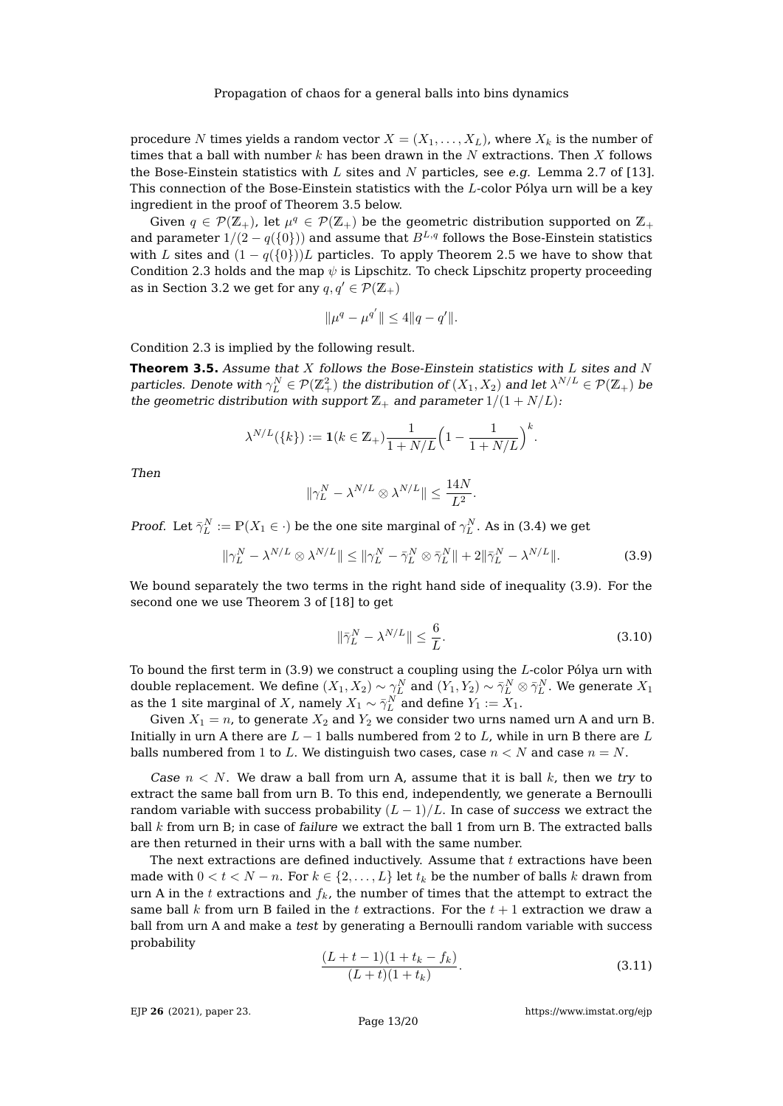procedure N times yields a random vector  $X = (X_1, \ldots, X_L)$ , where  $X_k$  is the number of times that a ball with number  $k$  has been drawn in the  $N$  extractions. Then  $X$  follows the Bose-Einstein statistics with L sites and N particles, see e.g. Lemma 2.7 of [\[13\]](#page-19-7). This connection of the Bose-Einstein statistics with the  $L$ -color Pólya urn will be a key ingredient in the proof of Theorem [3.5](#page-12-0) below.

Given  $q \in \mathcal{P}(\mathbb{Z}_+)$ , let  $\mu^q \in \mathcal{P}(\mathbb{Z}_+)$  be the geometric distribution supported on  $\mathbb{Z}_+$ and parameter  $1/(2 - q({0})$ ) and assume that  $B^{L,q}$  follows the Bose-Einstein statistics with L sites and  $(1 - q({0})L)$  particles. To apply Theorem [2.5](#page-3-1) we have to show that Condition [2.3](#page-3-0) holds and the map  $\psi$  is Lipschitz. To check Lipschitz property proceeding as in Section [3.2](#page-9-2) we get for any  $q, q' \in \mathcal{P}(\mathbb{Z}_+)$ 

$$
\|\mu^q - \mu^{q'}\| \le 4\|q - q'\|.
$$

Condition [2.3](#page-3-0) is implied by the following result.

<span id="page-12-0"></span>**Theorem 3.5.** Assume that  $X$  follows the Bose-Einstein statistics with  $L$  sites and  $N$ particles. Denote with  $\gamma^N_L\in\mathcal{P}(\Z_+^2)$  the distribution of  $(X_1,X_2)$  and let  $\lambda^{N/L}\in\mathcal{P}(\Z_+)$  be the geometric distribution with support  $\mathbb{Z}_+$  and parameter  $1/(1+N/L)$ :

$$
\lambda^{N/L}(\{k\}) := \mathbf{1}(k \in \mathbb{Z}_+) \frac{1}{1+N/L} \Big(1 - \frac{1}{1+N/L}\Big)^k.
$$

Then

$$
\|\gamma_L^N - \lambda^{N/L} \otimes \lambda^{N/L}\| \le \frac{14N}{L^2}.
$$

*Proof.* Let  $\bar{\gamma}_L^N := \mathbb{P}(X_1 \in \cdot)$  be the one site marginal of  $\gamma_L^N$ . As in [\(3.4\)](#page-10-0) we get

<span id="page-12-1"></span>
$$
\|\gamma_L^N - \lambda^{N/L} \otimes \lambda^{N/L}\| \le \|\gamma_L^N - \bar{\gamma}_L^N \otimes \bar{\gamma}_L^N\| + 2\|\bar{\gamma}_L^N - \lambda^{N/L}\|.
$$
 (3.9)

We bound separately the two terms in the right hand side of inequality [\(3.9\)](#page-12-1). For the second one we use Theorem 3 of [\[18\]](#page-19-9) to get

<span id="page-12-3"></span>
$$
\|\bar{\gamma}_L^N - \lambda^{N/L}\| \le \frac{6}{L}.\tag{3.10}
$$

To bound the first term in  $(3.9)$  we construct a coupling using the  $L$ -color Pólya urn with double replacement. We define  $(X_1,X_2)\sim \gamma_L^N$  and  $(Y_1,Y_2)\sim \bar\gamma_L^N\otimes \bar\gamma_L^N$ . We generate  $X_1$ as the 1 site marginal of X, namely  $X_1 \sim \bar{\gamma}_L^N$  and define  $Y_1 := X_1$ .

Given  $X_1 = n$ , to generate  $X_2$  and  $Y_2$  we consider two urns named urn A and urn B. Initially in urn A there are  $L - 1$  balls numbered from 2 to L, while in urn B there are L balls numbered from 1 to L. We distinguish two cases, case  $n < N$  and case  $n = N$ .

Case  $n < N$ . We draw a ball from urn A, assume that it is ball k, then we try to extract the same ball from urn B. To this end, independently, we generate a Bernoulli random variable with success probability  $(L-1)/L$ . In case of success we extract the ball  $k$  from urn B; in case of failure we extract the ball 1 from urn B. The extracted balls are then returned in their urns with a ball with the same number.

The next extractions are defined inductively. Assume that  $t$  extractions have been made with  $0 < t < N - n$ . For  $k \in \{2, \ldots, L\}$  let  $t_k$  be the number of balls k drawn from urn A in the t extractions and  $f_k$ , the number of times that the attempt to extract the same ball k from urn B failed in the t extractions. For the  $t + 1$  extraction we draw a ball from urn A and make a test by generating a Bernoulli random variable with success probability

<span id="page-12-2"></span>
$$
\frac{(L+t-1)(1+t_k-f_k)}{(L+t)(1+t_k)}.
$$
\n(3.11)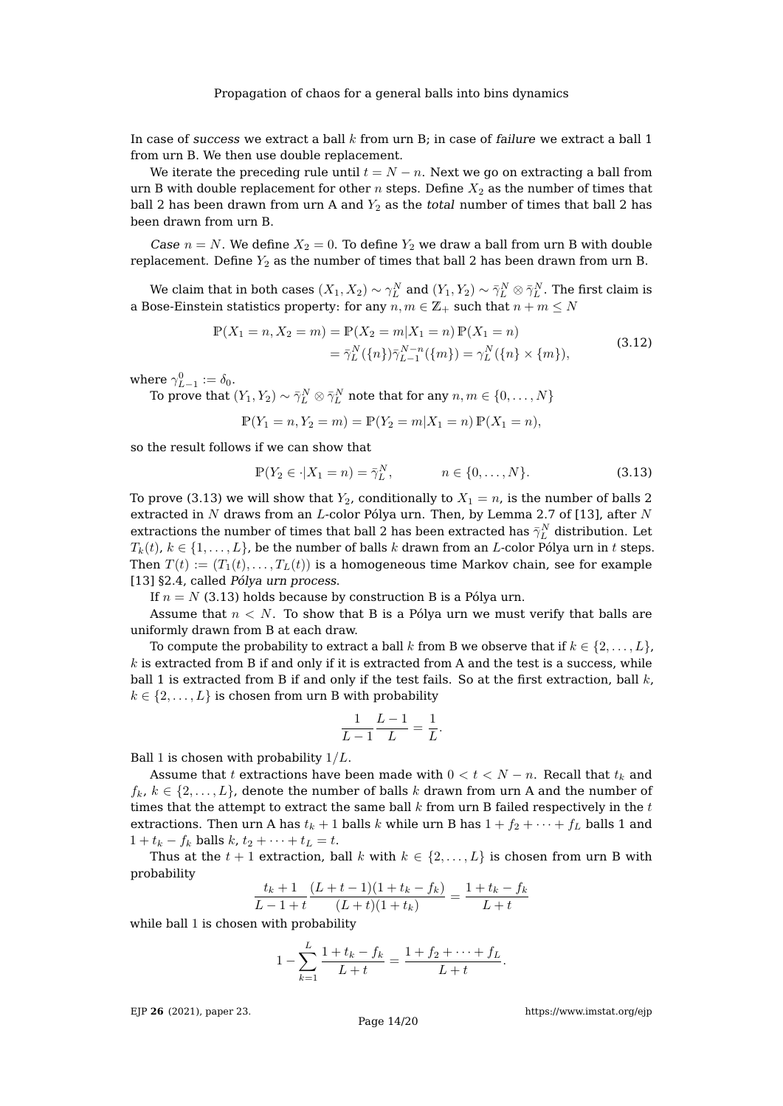In case of success we extract a ball  $k$  from urn B; in case of failure we extract a ball 1 from urn B. We then use double replacement.

We iterate the preceding rule until  $t = N - n$ . Next we go on extracting a ball from urn B with double replacement for other n steps. Define  $X_2$  as the number of times that ball 2 has been drawn from urn A and  $Y_2$  as the total number of times that ball 2 has been drawn from urn B.

Case  $n = N$ . We define  $X_2 = 0$ . To define  $Y_2$  we draw a ball from urn B with double replacement. Define  $Y_2$  as the number of times that ball 2 has been drawn from urn B.

We claim that in both cases  $(X_1,X_2)\sim \gamma_L^N$  and  $(Y_1,Y_2)\sim \bar\gamma_L^N\otimes \bar\gamma_L^N.$  The first claim is a Bose-Einstein statistics property: for any  $n, m \in \mathbb{Z}_+$  such that  $n + m \leq N$ 

$$
\mathbb{P}(X_1 = n, X_2 = m) = \mathbb{P}(X_2 = m | X_1 = n) \mathbb{P}(X_1 = n)
$$
  
=  $\bar{\gamma}_L^N(\{n\}) \bar{\gamma}_{L-1}^{N-n}(\{m\}) = \gamma_L^N(\{n\} \times \{m\}),$  (3.12)

<span id="page-13-1"></span>where  $\gamma_{L-1}^0 := \delta_0$ .

To prove that  $(Y_1,Y_2) \sim \bar{\gamma}_L^N \otimes \bar{\gamma}_L^N$  note that for any  $n,m \in \{0,\ldots,N\}$ 

$$
\mathbb{P}(Y_1 = n, Y_2 = m) = \mathbb{P}(Y_2 = m | X_1 = n) \mathbb{P}(X_1 = n),
$$

so the result follows if we can show that

<span id="page-13-0"></span>
$$
\mathbb{P}(Y_2 \in \cdot | X_1 = n) = \bar{\gamma}_L^N, \qquad n \in \{0, \dots, N\}.
$$
 (3.13)

To prove [\(3.13\)](#page-13-0) we will show that  $Y_2$ , conditionally to  $X_1 = n$ , is the number of balls 2 extracted in N draws from an L-color Pólya urn. Then, by Lemma 2.7 of [\[13\]](#page-19-7), after N extractions the number of times that ball 2 has been extracted has  $\bar{\gamma}^N_L$  distribution. Let  $T_k(t)$ ,  $k \in \{1, \ldots, L\}$ , be the number of balls k drawn from an L-color Pólya urn in t steps. Then  $T(t) := (T_1(t), \ldots, T_L(t))$  is a homogeneous time Markov chain, see for example [\[13\]](#page-19-7) §2.4, called Pólya urn process.

If  $n = N$  [\(3.13\)](#page-13-0) holds because by construction B is a Pólya urn.

Assume that  $n < N$ . To show that B is a Pólya urn we must verify that balls are uniformly drawn from B at each draw.

To compute the probability to extract a ball k from B we observe that if  $k \in \{2, \ldots, L\}$ ,  $k$  is extracted from B if and only if it is extracted from A and the test is a success, while ball 1 is extracted from B if and only if the test fails. So at the first extraction, ball  $k$ ,  $k \in \{2, \ldots, L\}$  is chosen from urn B with probability

$$
\frac{1}{L-1}\frac{L-1}{L} = \frac{1}{L}.
$$

Ball 1 is chosen with probability  $1/L$ .

Assume that t extractions have been made with  $0 < t < N - n$ . Recall that  $t_k$  and  $f_k, k \in \{2, \ldots, L\}$ , denote the number of balls k drawn from urn A and the number of times that the attempt to extract the same ball  $k$  from urn B failed respectively in the  $t$ extractions. Then urn A has  $t_k + 1$  balls k while urn B has  $1 + f_2 + \cdots + f_L$  balls 1 and  $1 + t_k - f_k$  balls  $k, t_2 + \cdots + t_L = t$ .

Thus at the  $t + 1$  extraction, ball k with  $k \in \{2, ..., L\}$  is chosen from urn B with probability

$$
\frac{t_k+1}{L-1+t} \frac{(L+t-1)(1+t_k-f_k)}{(L+t)(1+t_k)} = \frac{1+t_k-f_k}{L+t}
$$

while ball 1 is chosen with probability

$$
1 - \sum_{k=1}^{L} \frac{1 + t_k - f_k}{L + t} = \frac{1 + f_2 + \dots + f_L}{L + t}.
$$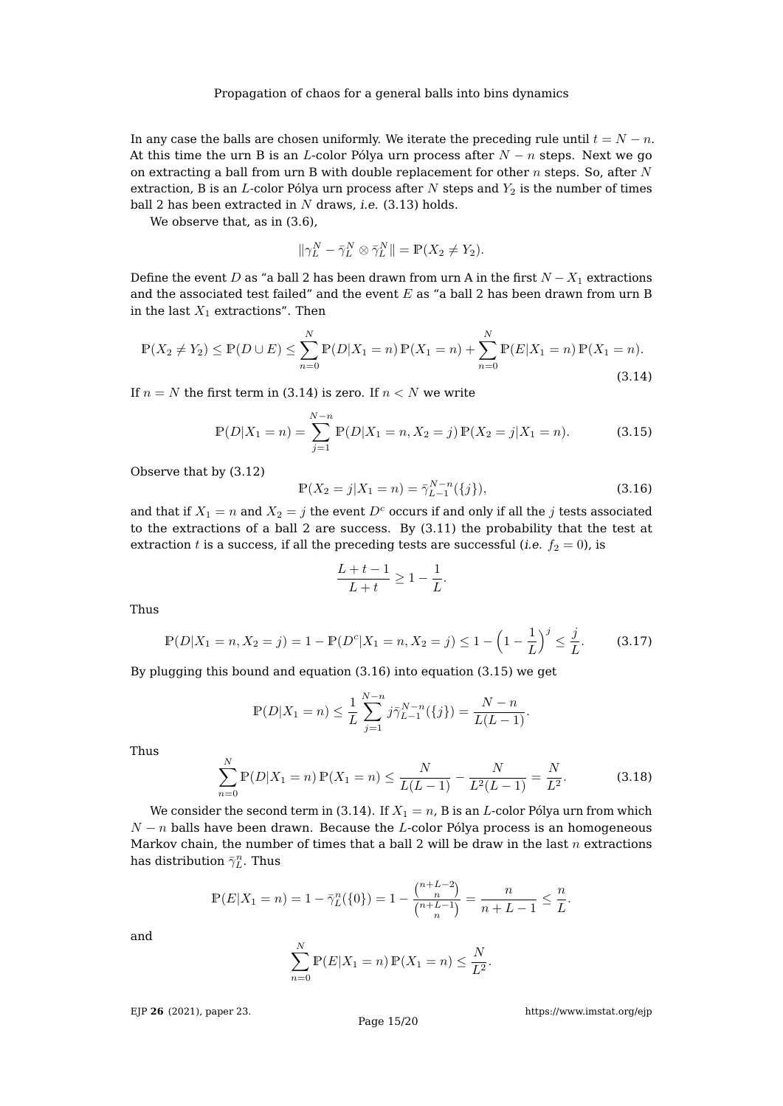In any case the balls are chosen uniformly. We iterate the preceding rule until  $t = N - n$ . At this time the urn B is an L-color Pólya urn process after  $N - n$  steps. Next we go on extracting a ball from urn B with double replacement for other  $n$  steps. So, after  $N$ extraction, B is an L-color Pólya urn process after  $N$  steps and  $Y_2$  is the number of times ball 2 has been extracted in  $N$  draws, i.e. [\(3.13\)](#page-13-0) holds.

We observe that, as in  $(3.6)$ ,

$$
\|\gamma_L^N - \bar{\gamma}_L^N \otimes \bar{\gamma}_L^N\| = \mathbb{P}(X_2 \neq Y_2).
$$

Define the event D as "a ball 2 has been drawn from urn A in the first  $N - X_1$  extractions and the associated test failed" and the event  $E$  as "a ball 2 has been drawn from urn B in the last  $X_1$  extractions". Then

<span id="page-14-0"></span>
$$
\mathbb{P}(X_2 \neq Y_2) \leq \mathbb{P}(D \cup E) \leq \sum_{n=0}^{N} \mathbb{P}(D|X_1 = n) \mathbb{P}(X_1 = n) + \sum_{n=0}^{N} \mathbb{P}(E|X_1 = n) \mathbb{P}(X_1 = n).
$$
\n(3.14)

If  $n = N$  the first term in [\(3.14\)](#page-14-0) is zero. If  $n < N$  we write

<span id="page-14-2"></span>
$$
\mathbb{P}(D|X_1 = n) = \sum_{j=1}^{N-n} \mathbb{P}(D|X_1 = n, X_2 = j) \mathbb{P}(X_2 = j | X_1 = n).
$$
 (3.15)

Observe that by [\(3.12\)](#page-13-1)

<span id="page-14-1"></span>
$$
\mathbb{P}(X_2 = j | X_1 = n) = \bar{\gamma}_{L-1}^{N-n}(\{j\}),\tag{3.16}
$$

and that if  $X_1 = n$  and  $X_2 = j$  the event  $D<sup>c</sup>$  occurs if and only if all the j tests associated to the extractions of a ball 2 are success. By [\(3.11\)](#page-12-2) the probability that the test at extraction t is a success, if all the preceding tests are successful (i.e.  $f_2 = 0$ ), is

$$
\frac{L+t-1}{L+t} \ge 1 - \frac{1}{L}.
$$

Thus

$$
\mathbb{P}(D|X_1 = n, X_2 = j) = 1 - \mathbb{P}(D^c|X_1 = n, X_2 = j) \le 1 - \left(1 - \frac{1}{L}\right)^j \le \frac{j}{L}.
$$
 (3.17)

By plugging this bound and equation [\(3.16\)](#page-14-1) into equation [\(3.15\)](#page-14-2) we get

$$
\mathbb{P}(D|X_1 = n) \le \frac{1}{L} \sum_{j=1}^{N-n} j \bar{\gamma}_{L-1}^{N-n}(\{j\}) = \frac{N-n}{L(L-1)}.
$$

Thus

<span id="page-14-3"></span>
$$
\sum_{n=0}^{N} \mathbb{P}(D|X_1 = n) \mathbb{P}(X_1 = n) \le \frac{N}{L(L-1)} - \frac{N}{L^2(L-1)} = \frac{N}{L^2}.
$$
 (3.18)

We consider the second term in [\(3.14\)](#page-14-0). If  $X_1 = n$ , B is an *L*-color Pólya urn from which  $N - n$  balls have been drawn. Because the L-color Pólya process is an homogeneous Markov chain, the number of times that a ball 2 will be draw in the last  $n$  extractions has distribution  $\bar{\gamma}_L^n$ . Thus

$$
\mathbb{P}(E|X_1 = n) = 1 - \bar{\gamma}_L^n(\{0\}) = 1 - \frac{\binom{n+L-2}{n}}{\binom{n+L-1}{n}} = \frac{n}{n+L-1} \le \frac{n}{L}.
$$

and

$$
\sum_{n=0}^{N} \mathbb{P}(E|X_1 = n) \mathbb{P}(X_1 = n) \le \frac{N}{L^2}.
$$

EJP **26** [\(2021\), paper 23.](https://doi.org/10.1214/21-EJP590)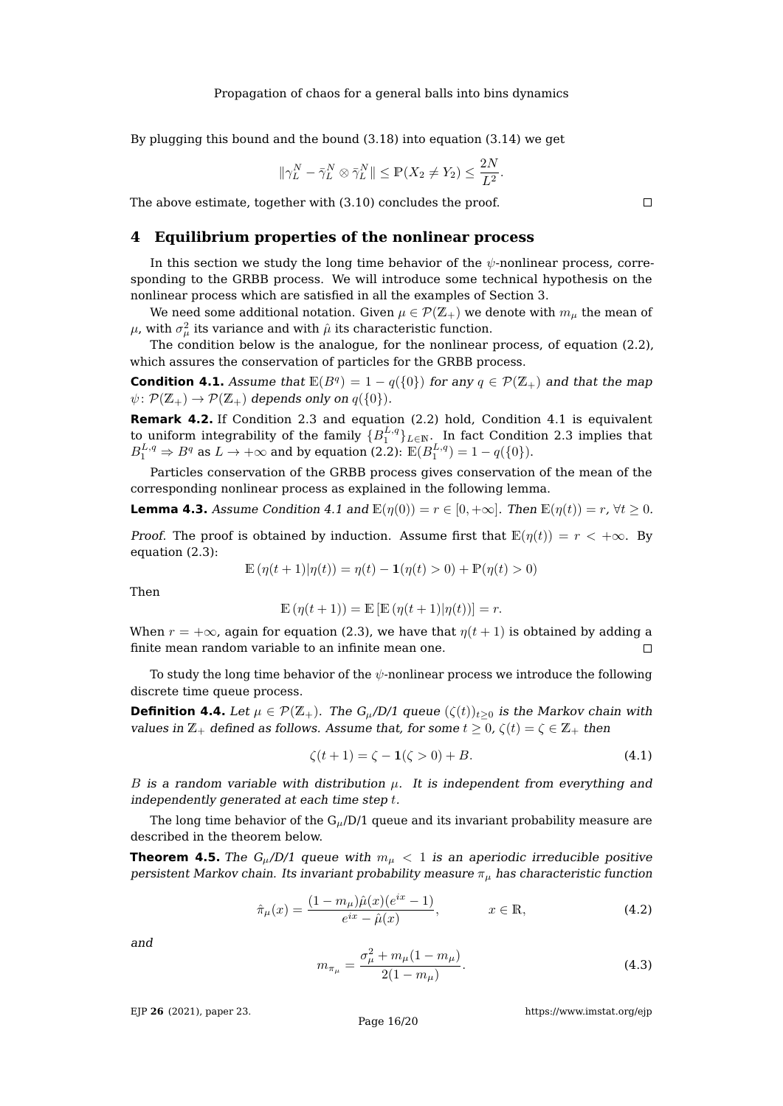By plugging this bound and the bound [\(3.18\)](#page-14-3) into equation [\(3.14\)](#page-14-0) we get

$$
\|\gamma_L^N - \bar{\gamma}_L^N \otimes \bar{\gamma}_L^N\| \le \mathbb{P}(X_2 \neq Y_2) \le \frac{2N}{L^2}.
$$

The above estimate, together with [\(3.10\)](#page-12-3) concludes the proof.

## **4 Equilibrium properties of the nonlinear process**

In this section we study the long time behavior of the  $\psi$ -nonlinear process, corresponding to the GRBB process. We will introduce some technical hypothesis on the nonlinear process which are satisfied in all the examples of Section [3.](#page-7-0)

We need some additional notation. Given  $\mu \in \mathcal{P}(\mathbb{Z}_+)$  we denote with  $m_{\mu}$  the mean of  $\mu$ , with  $\sigma^2_{\mu}$  its variance and with  $\hat{\mu}$  its characteristic function.

The condition below is the analogue, for the nonlinear process, of equation [\(2.2\)](#page-2-1), which assures the conservation of particles for the GRBB process.

<span id="page-15-0"></span>**Condition 4.1.** Assume that  $\mathbb{E}(B^q) = 1 - q(\{0\})$  for any  $q \in \mathcal{P}(\mathbb{Z}_+)$  and that the map  $\psi \colon \mathcal{P}(\mathbb{Z}_+) \to \mathcal{P}(\mathbb{Z}_+)$  depends only on  $q(\{0\}).$ 

**Remark 4.2.** If Condition [2.3](#page-3-0) and equation [\(2.2\)](#page-2-1) hold, Condition [4.1](#page-15-0) is equivalent to uniform integrability of the family  $\{B_1^{L,q}\}_{L\in\mathbb{N}}$ . In fact Condition [2.3](#page-3-0) implies that  $B_1^{L,q} \Rightarrow B^q$  as  $L \to +\infty$  and by equation [\(2.2\)](#page-2-1):  $\mathbb{E}(B_1^{L,q}) = 1 - q(\{0\}).$ 

Particles conservation of the GRBB process gives conservation of the mean of the corresponding nonlinear process as explained in the following lemma.

<span id="page-15-4"></span>**Lemma 4.3.** Assume Condition [4.1](#page-15-0) and  $\mathbb{E}(\eta(0)) = r \in [0, +\infty]$ . Then  $\mathbb{E}(\eta(t)) = r$ ,  $\forall t \geq 0$ .

*Proof.* The proof is obtained by induction. Assume first that  $\mathbb{E}(\eta(t)) = r < +\infty$ . By equation [\(2.3\)](#page-2-2):

$$
\mathbb{E}(\eta(t+1)|\eta(t)) = \eta(t) - \mathbf{1}(\eta(t) > 0) + \mathbb{P}(\eta(t) > 0)
$$

Then

$$
\mathbb{E}(\eta(t+1)) = \mathbb{E}[\mathbb{E}(\eta(t+1)|\eta(t))] = r.
$$

When  $r = +\infty$ , again for equation [\(2.3\)](#page-2-2), we have that  $\eta(t + 1)$  is obtained by adding a finite mean random variable to an infinite mean one.  $\Box$ 

To study the long time behavior of the  $\psi$ -nonlinear process we introduce the following discrete time queue process.

**Definition 4.4.** Let  $\mu \in \mathcal{P}(\mathbb{Z}_+)$ . The  $G_{\mu}/D/1$  queue  $(\zeta(t))_{t>0}$  is the Markov chain with values in  $\mathbb{Z}_+$  defined as follows. Assume that, for some  $t \geq 0$ ,  $\zeta(t) = \zeta \in \mathbb{Z}_+$  then

<span id="page-15-1"></span>
$$
\zeta(t+1) = \zeta - \mathbf{1}(\zeta > 0) + B. \tag{4.1}
$$

B is a random variable with distribution  $\mu$ . It is independent from everything and independently generated at each time step t.

The long time behavior of the  $G_{\mu}/D/1$  queue and its invariant probability measure are described in the theorem below.

<span id="page-15-5"></span>**Theorem 4.5.** The G<sub>u</sub>/D/1 queue with  $m_u < 1$  is an aperiodic irreducible positive persistent Markov chain. Its invariant probability measure  $\pi_{\mu}$  has characteristic function

<span id="page-15-2"></span>
$$
\hat{\pi}_{\mu}(x) = \frac{(1 - m_{\mu})\hat{\mu}(x)(e^{ix} - 1)}{e^{ix} - \hat{\mu}(x)}, \qquad x \in \mathbb{R},
$$
\n(4.2)

and

<span id="page-15-3"></span>
$$
m_{\pi_{\mu}} = \frac{\sigma_{\mu}^2 + m_{\mu}(1 - m_{\mu})}{2(1 - m_{\mu})}.
$$
\n(4.3)

EJP **26** [\(2021\), paper 23.](https://doi.org/10.1214/21-EJP590)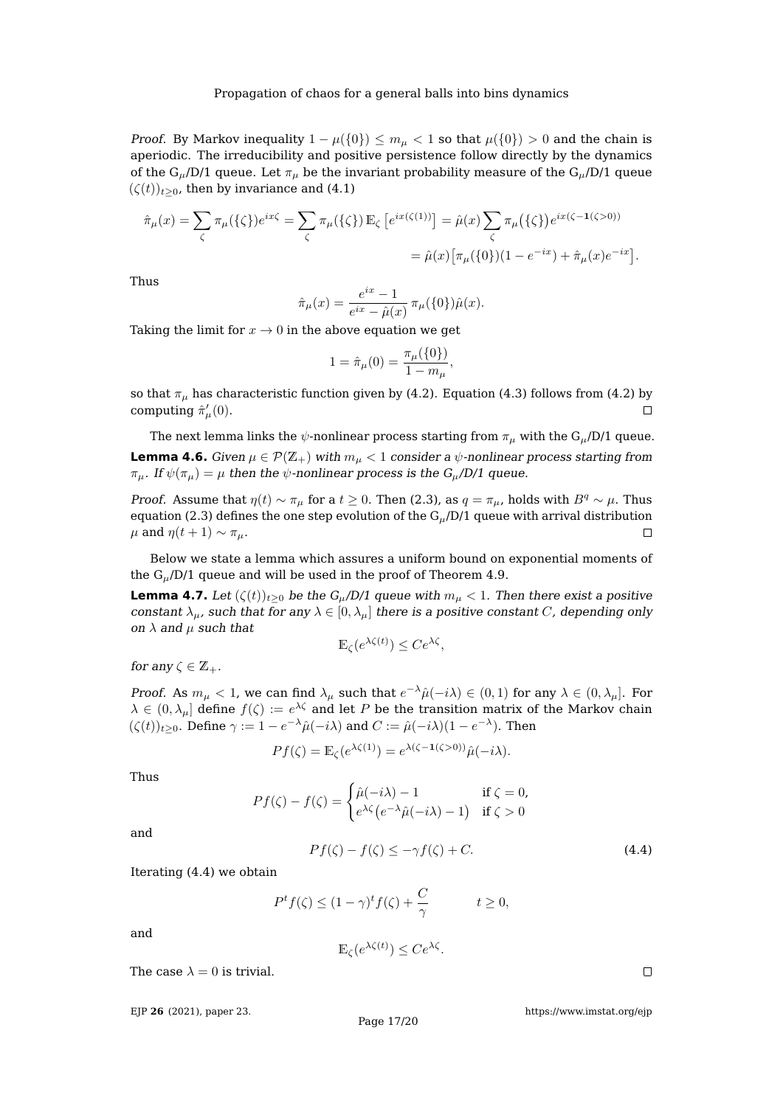*Proof.* By Markov inequality  $1 - \mu({0}) \le m_\mu < 1$  so that  $\mu({0}) > 0$  and the chain is aperiodic. The irreducibility and positive persistence follow directly by the dynamics of the  $G_{\mu}/D/1$  queue. Let  $\pi_{\mu}$  be the invariant probability measure of the  $G_{\mu}/D/1$  queue  $(\zeta(t))_{t>0}$ , then by invariance and [\(4.1\)](#page-15-1)

$$
\hat{\pi}_{\mu}(x) = \sum_{\zeta} \pi_{\mu}(\{\zeta\}) e^{ix\zeta} = \sum_{\zeta} \pi_{\mu}(\{\zeta\}) \mathbb{E}_{\zeta} \left[ e^{ix(\zeta(1))} \right] = \hat{\mu}(x) \sum_{\zeta} \pi_{\mu}(\{\zeta\}) e^{ix(\zeta - 1(\zeta > 0))}
$$

$$
= \hat{\mu}(x) \left[ \pi_{\mu}(\{0\}) (1 - e^{-ix}) + \hat{\pi}_{\mu}(x) e^{-ix} \right].
$$

Thus

$$
\hat{\pi}_{\mu}(x) = \frac{e^{ix} - 1}{e^{ix} - \hat{\mu}(x)} \pi_{\mu}(\{0\})\hat{\mu}(x).
$$

Taking the limit for  $x \to 0$  in the above equation we get

$$
1 = \hat{\pi}_{\mu}(0) = \frac{\pi_{\mu}(\{0\})}{1 - m_{\mu}},
$$

so that  $\pi_{\mu}$  has characteristic function given by [\(4.2\)](#page-15-2). Equation [\(4.3\)](#page-15-3) follows from (4.2) by computing  $\hat{\pi}_{\mu}'(0)$ .  $\Box$ 

The next lemma links the  $\psi$ -nonlinear process starting from  $\pi_{\mu}$  with the G<sub>u</sub>/D/1 queue. **Lemma 4.6.** Given  $\mu \in \mathcal{P}(\mathbb{Z}_+)$  with  $m_{\mu} < 1$  consider a  $\psi$ -nonlinear process starting from  $\pi_{\mu}$ . If  $\psi(\pi_{\mu}) = \mu$  then the  $\psi$ -nonlinear process is the  $G_{\mu}/D/1$  queue.

*Proof.* Assume that  $\eta(t) \sim \pi_\mu$  for a  $t \geq 0$ . Then [\(2.3\)](#page-2-2), as  $q = \pi_\mu$ , holds with  $B^q \sim \mu$ . Thus equation [\(2.3\)](#page-2-2) defines the one step evolution of the  $G_{\mu}/D/1$  queue with arrival distribution  $\mu$  and  $\eta(t+1) \sim \pi_{\mu}$ .  $\Box$ 

Below we state a lemma which assures a uniform bound on exponential moments of the  $G_{\mu}/D/1$  queue and will be used in the proof of Theorem [4.9.](#page-17-0)

<span id="page-16-1"></span>**Lemma 4.7.** Let  $(\zeta(t))_{t>0}$  be the  $G_{\mu}/D/1$  queue with  $m_{\mu} < 1$ . Then there exist a positive constant  $\lambda_{\mu}$ , such that for any  $\lambda \in [0, \lambda_{\mu}]$  there is a positive constant C, depending only on  $\lambda$  and  $\mu$  such that

$$
\mathbb{E}_{\zeta}(e^{\lambda \zeta(t)}) \leq Ce^{\lambda \zeta},
$$

for any  $\zeta \in \mathbb{Z}_+$ .

*Proof.* As  $m_{\mu} < 1$ , we can find  $\lambda_{\mu}$  such that  $e^{-\lambda}\hat{\mu}(-i\lambda) \in (0,1)$  for any  $\lambda \in (0, \lambda_{\mu}]$ . For  $\lambda\in(0,\lambda_\mu]$  define  $f(\zeta):=e^{\lambda\zeta}$  and let  $P$  be the transition matrix of the Markov chain  $(\zeta(t))_{t\geq0}$ . Define  $\gamma:=1-e^{-\lambda}\hat{\mu}(-i\lambda)$  and  $C:=\hat{\mu}(-i\lambda)(1-e^{-\lambda})$ . Then

$$
Pf(\zeta) = \mathbb{E}_{\zeta}(e^{\lambda \zeta(1)}) = e^{\lambda(\zeta - 1(\zeta > 0))} \hat{\mu}(-i\lambda).
$$

Thus

$$
Pf(\zeta) - f(\zeta) = \begin{cases} \hat{\mu}(-i\lambda) - 1 & \text{if } \zeta = 0, \\ e^{\lambda \zeta} (e^{-\lambda} \hat{\mu}(-i\lambda) - 1) & \text{if } \zeta > 0 \end{cases}
$$

and

<span id="page-16-0"></span>
$$
Pf(\zeta) - f(\zeta) \le -\gamma f(\zeta) + C. \tag{4.4}
$$

Iterating [\(4.4\)](#page-16-0) we obtain

$$
P^{t}f(\zeta) \le (1 - \gamma)^{t}f(\zeta) + \frac{C}{\gamma} \qquad t \ge 0,
$$

and

$$
\mathbb{E}_{\zeta}(e^{\lambda \zeta(t)}) \leq Ce^{\lambda \zeta}.
$$

The case  $\lambda = 0$  is trivial.

EJP **26** [\(2021\), paper 23.](https://doi.org/10.1214/21-EJP590)

Page 17[/20](#page-19-0)

[https://www.imstat.org/ejp](https://imstat.org/journals-and-publications/electronic-journal-of-probability/)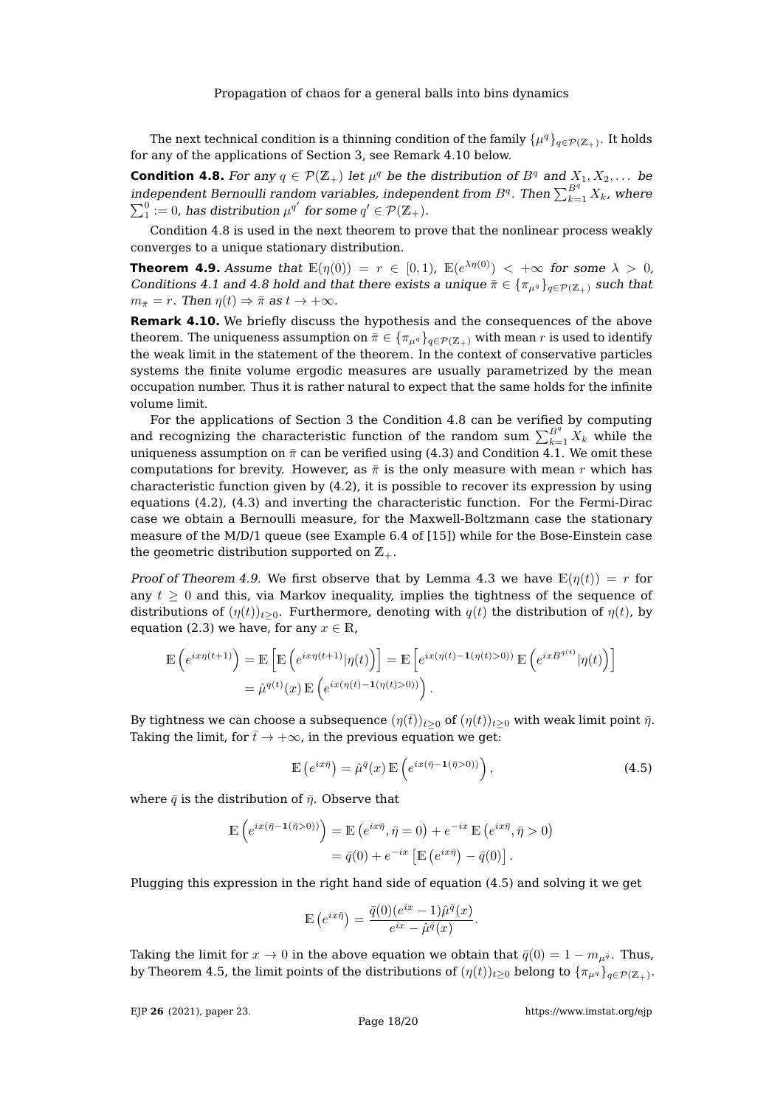The next technical condition is a thinning condition of the family  $\{\mu^q\}_{q\in\mathcal{P}(\mathbb{Z}_+)}.$  It holds for any of the applications of Section [3,](#page-7-0) see Remark [4.10](#page-17-1) below.

<span id="page-17-2"></span>**Condition 4.8.** For any  $q \in \mathcal{P}(\mathbb{Z}_+)$  let  $\mu^q$  be the distribution of  $B^q$  and  $X_1, X_2, \ldots$  be independent Bernoulli random variables, independent from  $B^q.$  Then  $\sum_{k=1}^{B^q} X_k$ , where  $\sum_1^0 := 0$ , has distribution  $\mu^{q'}$  for some  $q' \in \mathcal{P}(\mathbb{Z}_+).$ 

Condition [4.8](#page-17-2) is used in the next theorem to prove that the nonlinear process weakly converges to a unique stationary distribution.

<span id="page-17-0"></span>**Theorem 4.9.** Assume that  $\mathbb{E}(\eta(0)) = r \in [0,1)$ ,  $\mathbb{E}(e^{\lambda \eta(0)}) < +\infty$  for some  $\lambda > 0$ , Conditions [4.1](#page-15-0) and [4.8](#page-17-2) hold and that there exists a unique  $\bar{\pi} \in {\{\pi_{\mu^q}\}}_{q \in \mathcal{P}(\mathbb{Z}_+)}$  such that  $m_{\bar{\pi}} = r$ . Then  $\eta(t) \Rightarrow \bar{\pi}$  as  $t \to +\infty$ .

<span id="page-17-1"></span>**Remark 4.10.** We briefly discuss the hypothesis and the consequences of the above theorem. The uniqueness assumption on  $\bar{\pi} \in {\pi_{\mu q}}_{q \in \mathcal{P}(\mathbb{Z}_+)}$  with mean r is used to identify the weak limit in the statement of the theorem. In the context of conservative particles systems the finite volume ergodic measures are usually parametrized by the mean occupation number. Thus it is rather natural to expect that the same holds for the infinite volume limit.

For the applications of Section [3](#page-7-0) the Condition [4.8](#page-17-2) can be verified by computing and recognizing the characteristic function of the random sum  $\sum_{k=1}^{B^q} X_k$  while the uniqueness assumption on  $\bar{\pi}$  can be verified using [\(4.3\)](#page-15-3) and Condition [4.1.](#page-15-0) We omit these computations for brevity. However, as  $\bar{\pi}$  is the only measure with mean r which has characteristic function given by  $(4.2)$ , it is possible to recover its expression by using equations [\(4.2\)](#page-15-2), [\(4.3\)](#page-15-3) and inverting the characteristic function. For the Fermi-Dirac case we obtain a Bernoulli measure, for the Maxwell-Boltzmann case the stationary measure of the M/D/1 queue (see Example 6.4 of [\[15\]](#page-19-10)) while for the Bose-Einstein case the geometric distribution supported on  $\mathbb{Z}_+$ .

Proof of Theorem [4.9.](#page-17-0) We first observe that by Lemma [4.3](#page-15-4) we have  $\mathbb{E}(\eta(t)) = r$  for any  $t \geq 0$  and this, via Markov inequality, implies the tightness of the sequence of distributions of  $(\eta(t))_{t\geq0}$ . Furthermore, denoting with  $q(t)$  the distribution of  $\eta(t)$ , by equation [\(2.3\)](#page-2-2) we have, for any  $x \in \mathbb{R}$ ,

$$
\mathbb{E}\left(e^{ix\eta(t+1)}\right) = \mathbb{E}\left[\mathbb{E}\left(e^{ix\eta(t+1)}|\eta(t)\right)\right] = \mathbb{E}\left[e^{ix(\eta(t)-1(\eta(t)>0))}\mathbb{E}\left(e^{ixB^{q(t)}}|\eta(t)\right)\right]
$$

$$
= \hat{\mu}^{q(t)}(x)\mathbb{E}\left(e^{ix(\eta(t)-1(\eta(t)>0))}\right).
$$

By tightness we can choose a subsequence  $(\eta(\bar{t}))_{\bar{t}>0}$  of  $(\eta(t))_{t>0}$  with weak limit point  $\bar{\eta}$ . Taking the limit, for  $\bar{t}\to +\infty$ , in the previous equation we get:

<span id="page-17-3"></span>
$$
\mathbb{E}\left(e^{ix\bar{\eta}}\right) = \hat{\mu}^{\bar{q}}(x) \mathbb{E}\left(e^{ix(\bar{\eta}-\mathbf{1}(\bar{\eta}>0))}\right),\tag{4.5}
$$

where  $\bar{q}$  is the distribution of  $\bar{\eta}$ . Observe that

$$
\mathbb{E}\left(e^{ix(\bar{\eta}-1(\bar{\eta}>0))}\right) = \mathbb{E}\left(e^{ix\bar{\eta}}, \bar{\eta}=0\right) + e^{-ix}\mathbb{E}\left(e^{ix\bar{\eta}}, \bar{\eta}>0\right)
$$

$$
= \bar{q}(0) + e^{-ix}\left[\mathbb{E}\left(e^{ix\bar{\eta}}\right) - \bar{q}(0)\right].
$$

Plugging this expression in the right hand side of equation [\(4.5\)](#page-17-3) and solving it we get

$$
\mathbb{E}\left(e^{ix\bar{\eta}}\right) = \frac{\bar{q}(0)(e^{ix} - 1)\hat{\mu}^{\bar{q}}(x)}{e^{ix} - \hat{\mu}^{\bar{q}}(x)}.
$$

Taking the limit for  $x \to 0$  in the above equation we obtain that  $\bar{q}(0) = 1 - m_{\mu\bar{q}}$ . Thus, by Theorem [4.5,](#page-15-5) the limit points of the distributions of  $(\eta(t))_{t\geq0}$  belong to  $\{\pi_{\mu^q}\}_{q\in\mathcal{P}(\Z_+)}.$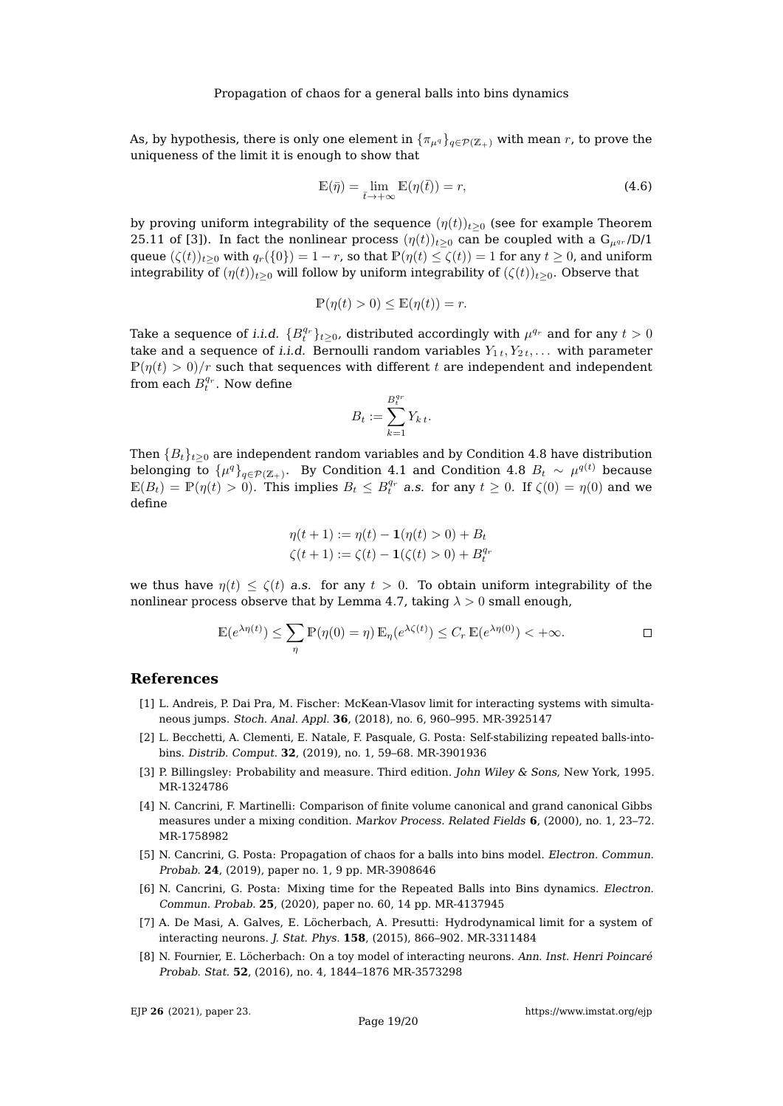As, by hypothesis, there is only one element in  $\{\pi_{\mu q}\}_{q \in \mathcal{P}(\mathbb{Z}_+)}$  with mean r, to prove the uniqueness of the limit it is enough to show that

$$
\mathbb{E}(\bar{\eta}) = \lim_{\bar{t} \to +\infty} \mathbb{E}(\eta(\bar{t})) = r,\tag{4.6}
$$

by proving uniform integrability of the sequence  $(\eta(t))_{t\geq0}$  (see for example Theorem 25.11 of [\[3\]](#page-18-7)). In fact the nonlinear process  $(\eta(t))_{t>0}$  can be coupled with a  $G_{\mu\alpha\beta}$  /D/1 queue  $(\zeta(t))_{t>0}$  with  $q_r({0}) = 1 - r$ , so that  $\mathbb{P}(\eta(t) \leq \zeta(t)) = 1$  for any  $t \geq 0$ , and uniform integrability of  $(\eta(t))_{t>0}$  will follow by uniform integrability of  $(\zeta(t))_{t>0}$ . Observe that

$$
\mathbb{P}(\eta(t) > 0) \le \mathbb{E}(\eta(t)) = r.
$$

Take a sequence of *i.i.d.*  $\{B^{q_r}_t\}_{t\geq 0}$ , distributed accordingly with  $\mu^{q_r}$  and for any  $t>0$ take and a sequence of *i.i.d.* Bernoulli random variables  $Y_{1t}, Y_{2t}, \ldots$  with parameter  $P(\eta(t) > 0)/r$  such that sequences with different t are independent and independent from each  $B_t^{q_r}$ . Now define

$$
B_t := \sum_{k=1}^{B_t^{q_r}} Y_{k\,t}.
$$

Then  ${B_t}_{t>0}$  are independent random variables and by Condition [4.8](#page-17-2) have distribution belonging to  $\{\mu^q\}_{q\in{\cal P}({\Bbb Z}_+)}.$  By Condition [4.1](#page-15-0) and Condition [4.8](#page-17-2)  $B_t$   $\sim$   $\mu^{q(t)}$  because  $\mathbb{E}(B_t) = \mathbb{P}(\eta(t) > 0)$ . This implies  $B_t \leq B_t^{q_r}$  a.s. for any  $t \geq 0$ . If  $\zeta(0) = \eta(0)$  and we define

$$
\eta(t+1) := \eta(t) - \mathbf{1}(\eta(t) > 0) + B_t
$$
  

$$
\zeta(t+1) := \zeta(t) - \mathbf{1}(\zeta(t) > 0) + B_t^{q_r}
$$

we thus have  $\eta(t) \leq \zeta(t)$  a.s. for any  $t > 0$ . To obtain uniform integrability of the nonlinear process observe that by Lemma [4.7,](#page-16-1) taking  $\lambda > 0$  small enough,

$$
\mathbb{E}(e^{\lambda \eta(t)}) \le \sum_{\eta} \mathbb{P}(\eta(0) = \eta) \mathbb{E}_{\eta}(e^{\lambda \zeta(t)}) \le C_r \mathbb{E}(e^{\lambda \eta(0)}) < +\infty.
$$

#### <span id="page-18-2"></span>**References**

- [1] L. Andreis, P. Dai Pra, M. Fischer: McKean-Vlasov limit for interacting systems with simultaneous jumps. Stoch. Anal. Appl. **36**, (2018), no. 6, 960–995. [MR-3925147](https://mathscinet.ams.org/mathscinet-getitem?mr=3925147)
- <span id="page-18-1"></span>[2] L. Becchetti, A. Clementi, E. Natale, F. Pasquale, G. Posta: Self-stabilizing repeated balls-intobins. Distrib. Comput. **32**, (2019), no. 1, 59–68. [MR-3901936](https://mathscinet.ams.org/mathscinet-getitem?mr=3901936)
- <span id="page-18-7"></span>[3] P. Billingsley: Probability and measure. Third edition. John Wiley & Sons, New York, 1995. [MR-1324786](https://mathscinet.ams.org/mathscinet-getitem?mr=1324786)
- <span id="page-18-5"></span>[4] N. Cancrini, F. Martinelli: Comparison of finite volume canonical and grand canonical Gibbs measures under a mixing condition. Markov Process. Related Fields **6**, (2000), no. 1, 23–72. [MR-1758982](https://mathscinet.ams.org/mathscinet-getitem?mr=1758982)
- <span id="page-18-3"></span>[5] N. Cancrini, G. Posta: Propagation of chaos for a balls into bins model. Electron. Commun. Probab. **24**, (2019), paper no. 1, 9 pp. [MR-3908646](https://mathscinet.ams.org/mathscinet-getitem?mr=3908646)
- <span id="page-18-6"></span>[6] N. Cancrini, G. Posta: Mixing time for the Repeated Balls into Bins dynamics. Electron. Commun. Probab. **25**, (2020), paper no. 60, 14 pp. [MR-4137945](https://mathscinet.ams.org/mathscinet-getitem?mr=4137945)
- <span id="page-18-0"></span>[7] A. De Masi, A. Galves, E. Löcherbach, A. Presutti: Hydrodynamical limit for a system of interacting neurons. J. Stat. Phys. **158**, (2015), 866–902. [MR-3311484](https://mathscinet.ams.org/mathscinet-getitem?mr=3311484)
- <span id="page-18-4"></span>[8] N. Fournier, E. Löcherbach: On a toy model of interacting neurons. Ann. Inst. Henri Poincaré Probab. Stat. **52**, (2016), no. 4, 1844–1876 [MR-3573298](https://mathscinet.ams.org/mathscinet-getitem?mr=3573298)